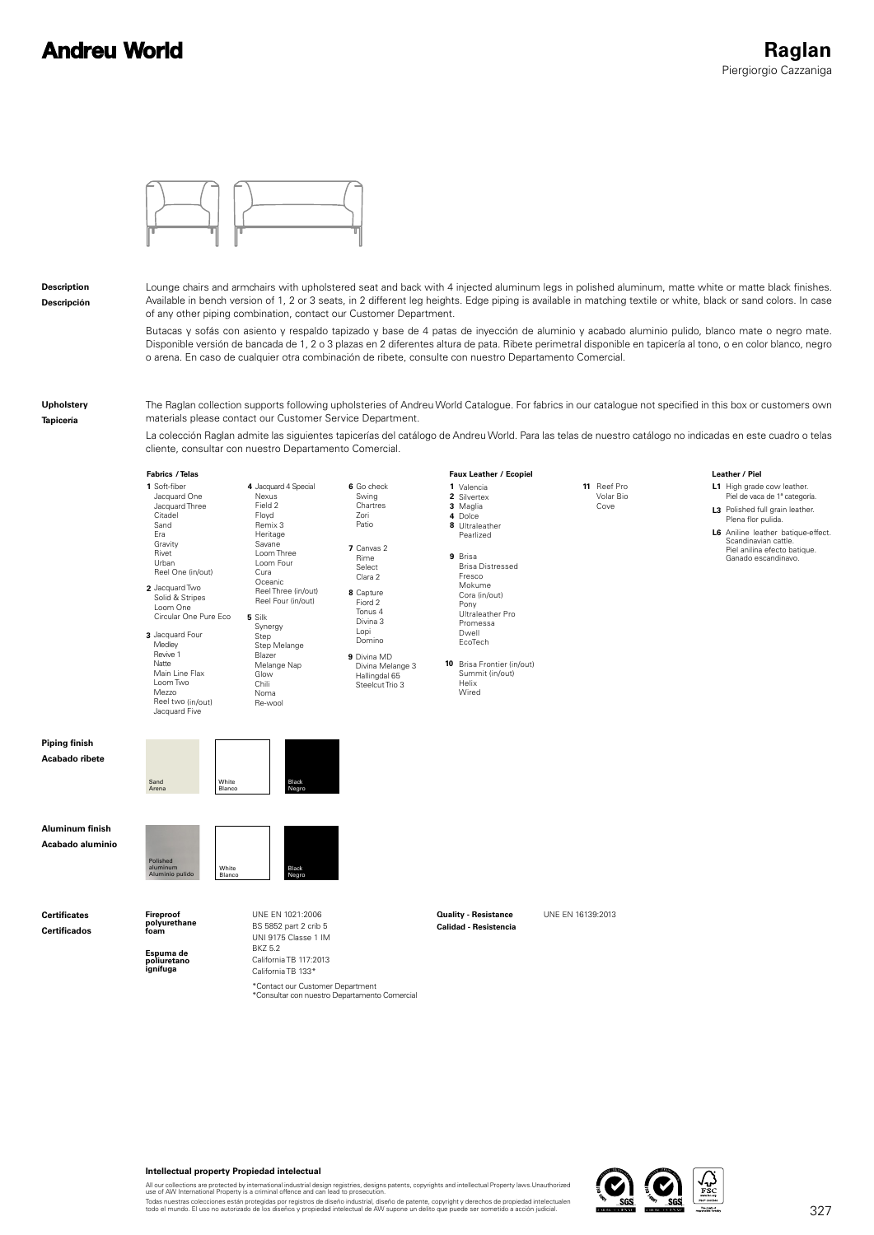# **Andreu World**



#### **Description Descripción**

Lounge chairs and armchairs with upholstered seat and back with 4 injected aluminum legs in polished aluminum, matte white or matte black finishes. Available in bench version of 1, 2 or 3 seats, in 2 different leg heights. Edge piping is available in matching textile or white, black or sand colors. In case of any other piping combination, contact our Customer Department.

Butacas y sofás con asiento y respaldo tapizado y base de 4 patas de inyección de aluminio y acabado aluminio pulido, blanco mate o negro mate. Disponible versión de bancada de 1, 2 o 3 plazas en 2 diferentes altura de pata. Ribete perimetral disponible en tapicería al tono, o en color blanco, negro o arena. En caso de cualquier otra combinación de ribete, consulte con nuestro Departamento Comercial.

#### **Upholstery**

**Tapicería**

The Raglan collection supports following upholsteries of Andreu World Catalogue. For fabrics in our catalogue not specified in this box or customers own materials please contact our Customer Service Department.

La colección Raglan admite las siguientes tapicerías del catálogo de Andreu World. Para las telas de nuestro catálogo no indicadas en este cuadro o telas cliente, consultar con nuestro Departamento Comercial.



#### **Intellectual property Propiedad intelectual**

All our collections are protected by international industrial design registries, designs patents, copyrights and intellectual Property laws.Unauthorized<br>use of AW International Property is a criminal offence and can lead t

Todas nuestras colecciones están protegidas por registros de diseño industrial, diseño de patente, copyright y derechos de propiedad intelectualen<br>todo el mundo. El uso no autorizado de los diseños y propiedad intelectual

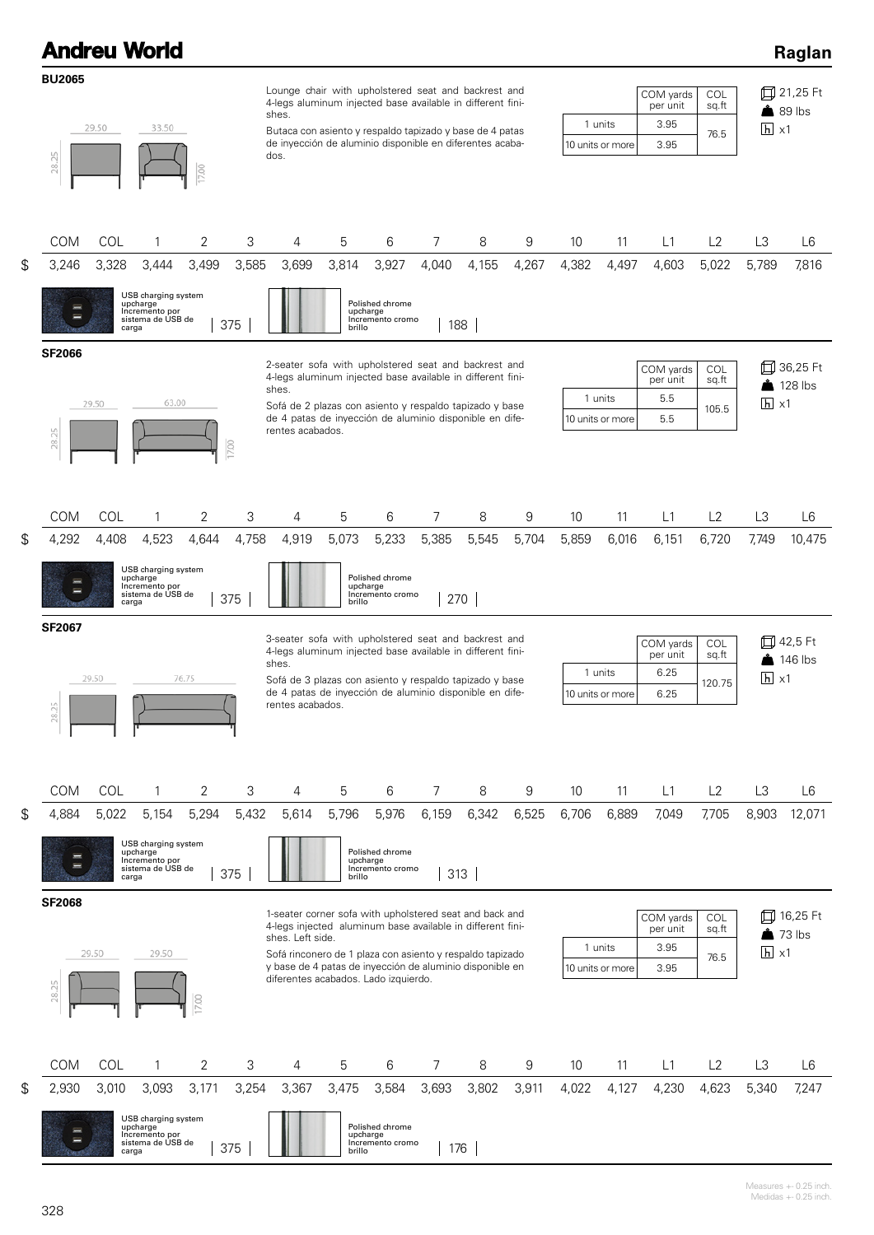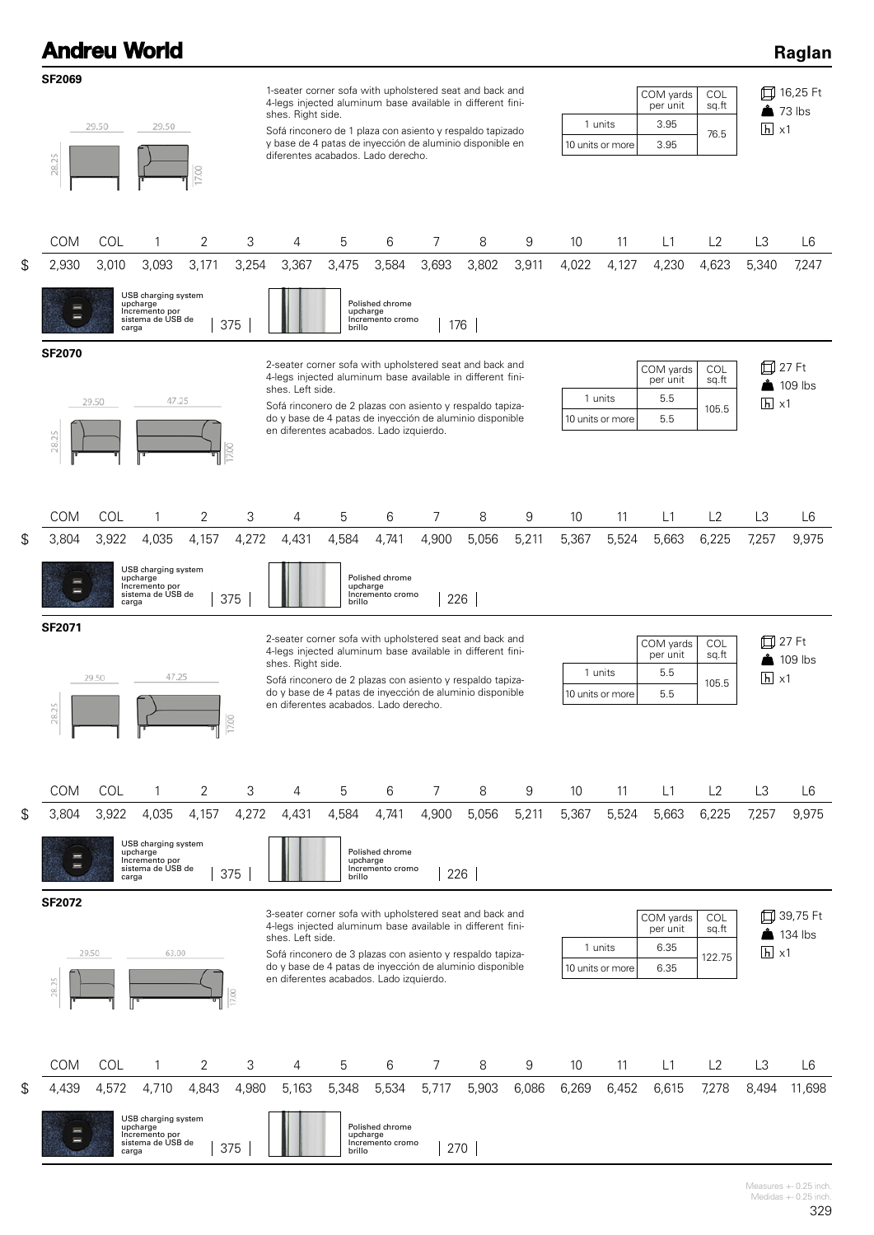

Measures +- 0.25 inch. Medidas  $+-0.25$  inch.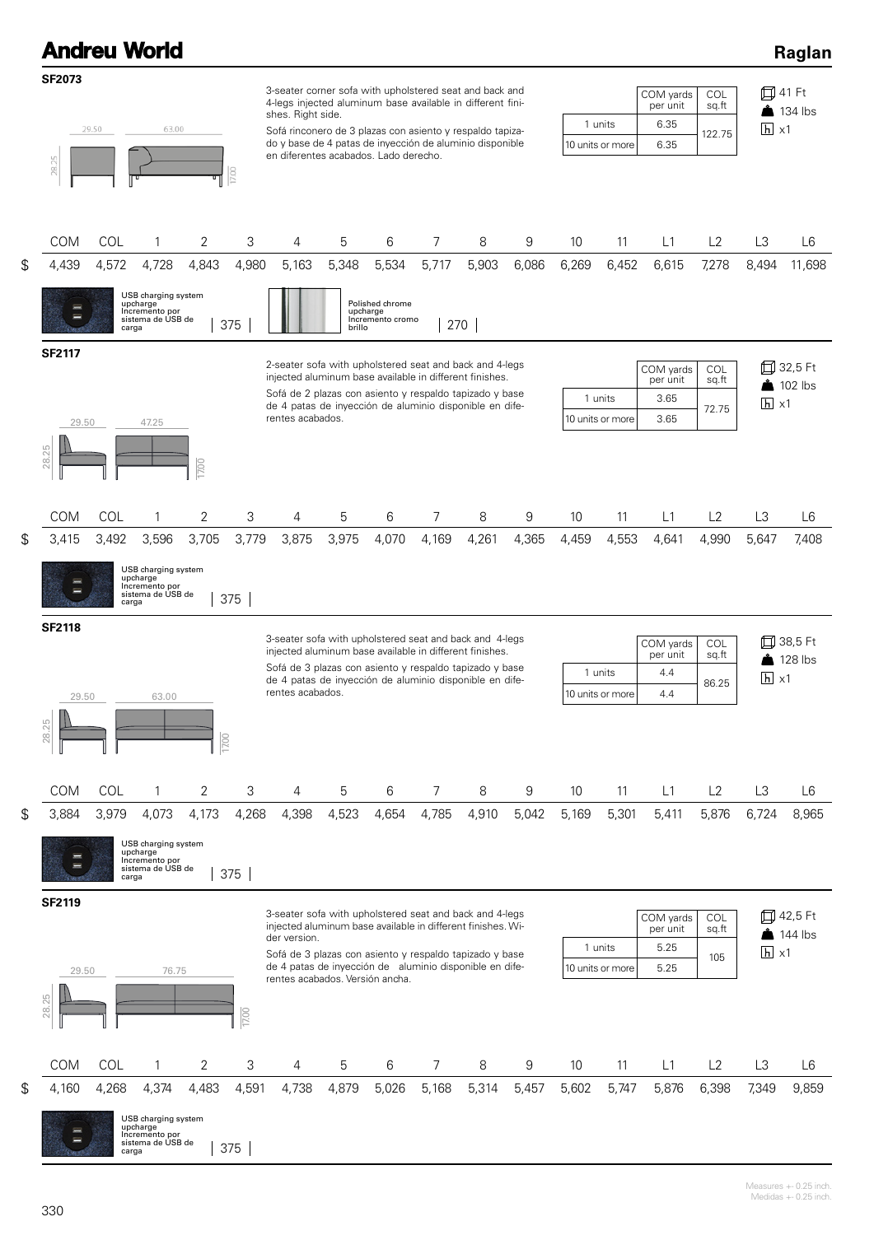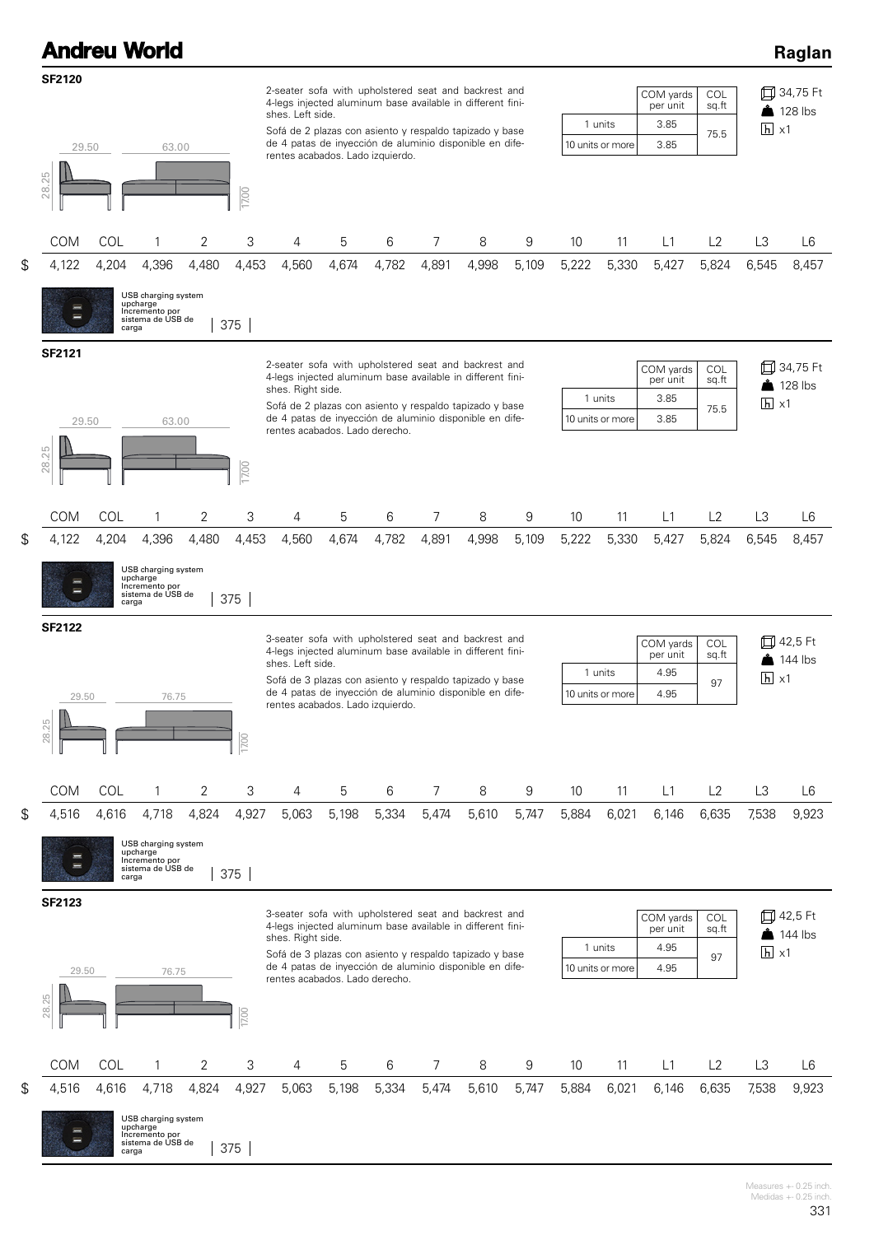|                        |       | <b>Andreu World</b>                                                    |       |       |                                                                                                                                                                                                                                                                                                  |       |       |       |       |       |                 |                             |                                       |                      |                   | Raglan                             |
|------------------------|-------|------------------------------------------------------------------------|-------|-------|--------------------------------------------------------------------------------------------------------------------------------------------------------------------------------------------------------------------------------------------------------------------------------------------------|-------|-------|-------|-------|-------|-----------------|-----------------------------|---------------------------------------|----------------------|-------------------|------------------------------------|
| <b>SF2120</b><br>29.50 |       | 63.00                                                                  |       |       | 2-seater sofa with upholstered seat and backrest and<br>4-legs injected aluminum base available in different fini-<br>shes. Left side.<br>Sofá de 2 plazas con asiento y respaldo tapizado y base<br>de 4 patas de inyección de aluminio disponible en dife-<br>rentes acabados. Lado izquierdo. |       |       |       |       |       |                 | 1 units<br>10 units or more | COM yards<br>per unit<br>3.85<br>3.85 | COL<br>sq.ft<br>75.5 | $h \times 1$      | 口 34,75 Ft<br>$\triangle$ 128 lbs  |
| 28.25                  |       |                                                                        |       | 17.00 |                                                                                                                                                                                                                                                                                                  |       |       |       |       |       |                 |                             |                                       |                      |                   |                                    |
| COM                    | COL   | 1                                                                      | 2     | 3     | 4                                                                                                                                                                                                                                                                                                | 5     | 6     | 7     | 8     | 9     | 10              | 11                          | L1                                    | L2                   | L3                | L <sub>6</sub>                     |
| \$<br>4,122            | 4,204 | 4,396                                                                  | 4,480 | 4,453 | 4,560                                                                                                                                                                                                                                                                                            | 4,674 | 4,782 | 4,891 | 4,998 | 5,109 | 5,222           | 5,330                       | 5,427                                 | 5,824                | 6,545             | 8,457                              |
| ═                      | carga | USB charging system<br>upcharge<br>Incremento por<br>sistema de USB de |       | 375   |                                                                                                                                                                                                                                                                                                  |       |       |       |       |       |                 |                             |                                       |                      |                   |                                    |
| <b>SF2121</b>          |       |                                                                        |       |       | 2-seater sofa with upholstered seat and backrest and<br>4-legs injected aluminum base available in different fini-<br>shes. Right side.                                                                                                                                                          |       |       |       |       |       |                 |                             | COM yards<br>per unit                 | <b>COL</b><br>sq.ft  |                   | 口 34,75 Ft<br>$\triangle$ 128 lbs  |
| 29.50                  |       | 63.00                                                                  |       |       | Sofá de 2 plazas con asiento y respaldo tapizado y base<br>de 4 patas de inyección de aluminio disponible en dife-                                                                                                                                                                               |       |       |       |       |       |                 | 1 units<br>10 units or more | 3.85<br>3.85                          | 75.5                 | $\overline{h}$ x1 |                                    |
| 28.25                  |       |                                                                        |       | 17.00 | rentes acabados. Lado derecho.                                                                                                                                                                                                                                                                   |       |       |       |       |       |                 |                             |                                       |                      |                   |                                    |
| COM                    | COL   | 1                                                                      | 2     | 3     | 4                                                                                                                                                                                                                                                                                                | 5     | 6     | 7     | 8     | 9     | 10              | 11                          | L1                                    | L2                   | L3                | L6                                 |
| \$<br>4,122            | 4,204 | 4,396                                                                  | 4,480 | 4,453 | 4,560                                                                                                                                                                                                                                                                                            | 4,674 | 4,782 | 4,891 | 4,998 | 5,109 | 5,222           | 5,330                       | 5,427                                 | 5,824                | 6,545             | 8,457                              |
|                        | carga | USB charging system<br>upcharge<br>Incremento por<br>sistema de USB de |       | 375   |                                                                                                                                                                                                                                                                                                  |       |       |       |       |       |                 |                             |                                       |                      |                   |                                    |
| <b>SF2122</b>          |       |                                                                        |       |       | 3-seater sofa with upholstered seat and backrest and<br>4-legs injected aluminum base available in different fini-                                                                                                                                                                               |       |       |       |       |       |                 |                             | COM yards<br>per unit                 | COL<br>sq.ft         |                   | 口 42,5 Ft                          |
|                        |       |                                                                        |       |       | shes. Left side.<br>Sofá de 3 plazas con asiento y respaldo tapizado y base                                                                                                                                                                                                                      |       |       |       |       |       |                 | 1 units                     | 4.95                                  | 97                   | $\overline{h}$ x1 | $\frac{1}{2}$ 144 lbs              |
| 29.50<br>28.25         |       | 76.75                                                                  |       | 17.00 | de 4 patas de inyección de aluminio disponible en dife-<br>rentes acabados. Lado izquierdo.                                                                                                                                                                                                      |       |       |       |       |       |                 | 10 units or more            | 4.95                                  |                      |                   |                                    |
| COM                    | COL   | 1                                                                      | 2     | 3     | 4                                                                                                                                                                                                                                                                                                | 5     | 6     | 7     | 8     | 9     | 10              | 11                          | L1                                    | L2                   | L3                | L6                                 |
| \$<br>4,516            | 4,616 | 4,718                                                                  | 4,824 | 4,927 | 5,063                                                                                                                                                                                                                                                                                            | 5,198 | 5,334 | 5,474 | 5,610 | 5,747 | 5,884           | 6,021                       | 6,146                                 | 6,635                | 7,538             | 9,923                              |
| I                      | carga | USB charging system<br>upcharge<br>Incremento por<br>sistema de USB de |       | 375   |                                                                                                                                                                                                                                                                                                  |       |       |       |       |       |                 |                             |                                       |                      |                   |                                    |
| SF2123                 |       |                                                                        |       |       | 3-seater sofa with upholstered seat and backrest and<br>4-legs injected aluminum base available in different fini-<br>shes. Right side.                                                                                                                                                          |       |       |       |       |       |                 | 1 units                     | COM yards<br>per unit<br>4.95         | COL<br>sq.ft         | $\overline{h}$ x1 | 口 42,5 Ft<br>$\frac{3}{2}$ 144 lbs |
| 29.50<br>28.25         |       | 76.75                                                                  |       | 17.00 | Sofá de 3 plazas con asiento y respaldo tapizado y base<br>de 4 patas de inyección de aluminio disponible en dife-<br>rentes acabados. Lado derecho.                                                                                                                                             |       |       |       |       |       |                 | 10 units or more            | 4.95                                  | 97                   |                   |                                    |
| COM                    | COL   | 1                                                                      | 2     | 3     | 4                                                                                                                                                                                                                                                                                                | 5     | 6     | 7     | 8     | 9     | 10 <sup>°</sup> | 11                          | L1                                    | L2                   | L3                | L6                                 |
| \$<br>4,516            | 4,616 | 4,718                                                                  | 4,824 | 4,927 | 5,063                                                                                                                                                                                                                                                                                            | 5,198 | 5,334 | 5,474 | 5,610 | 5,747 | 5,884           | 6,021                       | 6,146                                 | 6,635                | 7,538             | 9,923                              |
|                        | carga | USB charging system<br>upcharge<br>Incremento por<br>sistema de USB de |       | 375   |                                                                                                                                                                                                                                                                                                  |       |       |       |       |       |                 |                             |                                       |                      |                   |                                    |

Measures +- 0.25 inch. Medidas +- 0.25 inch.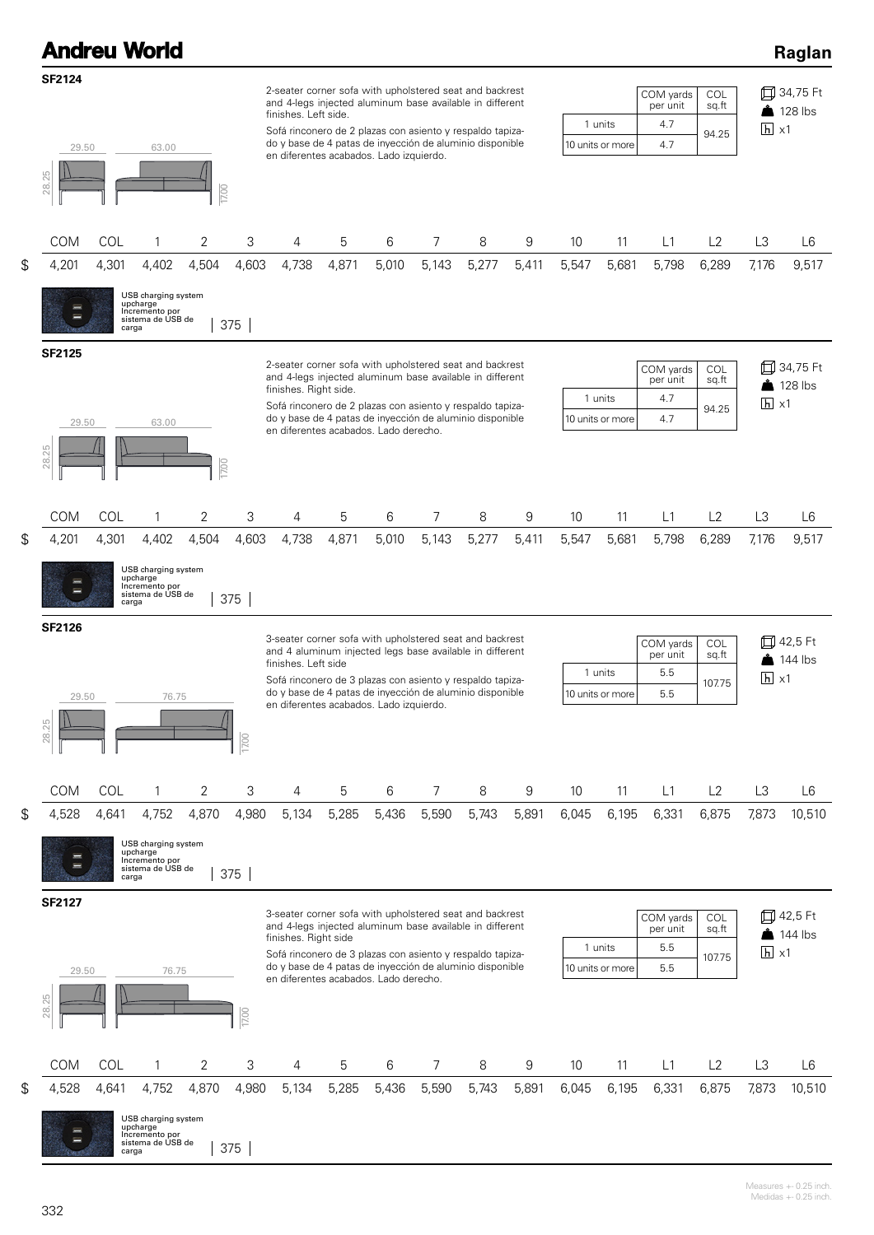|               | <b>Andreu World</b> |                                                                                 |                    |       |                                                                                                                                                                                                                                                                                                                 |       |       |                |       |       |       |                             |                                     |                       |                   | Raglan                            |
|---------------|---------------------|---------------------------------------------------------------------------------|--------------------|-------|-----------------------------------------------------------------------------------------------------------------------------------------------------------------------------------------------------------------------------------------------------------------------------------------------------------------|-------|-------|----------------|-------|-------|-------|-----------------------------|-------------------------------------|-----------------------|-------------------|-----------------------------------|
| <b>SF2124</b> | 29.50               | 63.00                                                                           |                    |       | 2-seater corner sofa with upholstered seat and backrest<br>and 4-legs injected aluminum base available in different<br>finishes. Left side.<br>Sofá rinconero de 2 plazas con asiento y respaldo tapiza-<br>do y base de 4 patas de inyección de aluminio disponible<br>en diferentes acabados. Lado izquierdo. |       |       |                |       |       |       | 1 units<br>10 units or more | COM yards<br>per unit<br>4.7<br>4.7 | COL<br>sq.ft<br>94.25 | $\overline{h}$ x1 | 口 34,75 Ft<br>$\triangle$ 128 lbs |
| 28.25         |                     |                                                                                 | $\overline{17.00}$ |       |                                                                                                                                                                                                                                                                                                                 |       |       |                |       |       |       |                             |                                     |                       |                   |                                   |
| <b>COM</b>    | COL                 | 1                                                                               | 2                  | 3     | 4                                                                                                                                                                                                                                                                                                               | 5     | 6     | 7              | 8     | 9     | 10    | 11                          | L1                                  | L2                    | L3                | L <sub>6</sub>                    |
| 4,201<br>\$   | 4,301               | 4,402                                                                           | 4,504              | 4,603 | 4,738                                                                                                                                                                                                                                                                                                           | 4,871 | 5,010 | 5,143          | 5,277 | 5,411 | 5,547 | 5,681                       | 5,798                               | 6,289                 | 7,176             | 9,517                             |
|               |                     | USB charging system<br>upcharge<br>Incremento por<br>sistema de USB de<br>carga |                    | 375   |                                                                                                                                                                                                                                                                                                                 |       |       |                |       |       |       |                             |                                     |                       |                   |                                   |
| <b>SF2125</b> |                     |                                                                                 |                    |       | 2-seater corner sofa with upholstered seat and backrest<br>and 4-legs injected aluminum base available in different                                                                                                                                                                                             |       |       |                |       |       |       |                             | COM yards                           | COL                   | ₶                 | 34,75 Ft                          |
|               |                     |                                                                                 |                    |       | finishes. Right side.                                                                                                                                                                                                                                                                                           |       |       |                |       |       |       | 1 units                     | per unit<br>4.7                     | sq.ft                 | $\overline{h}$ x1 | $\big\}$ 128 lbs                  |
|               | 29.50               | 63.00                                                                           |                    |       | Sofá rinconero de 2 plazas con asiento y respaldo tapiza-<br>do y base de 4 patas de inyección de aluminio disponible<br>en diferentes acabados. Lado derecho.                                                                                                                                                  |       |       |                |       |       |       | 10 units or more            | 4.7                                 | 94.25                 |                   |                                   |
| 28.25         |                     |                                                                                 | $\frac{000}{100}$  |       |                                                                                                                                                                                                                                                                                                                 |       |       |                |       |       |       |                             |                                     |                       |                   |                                   |
| COM           | COL                 | 1                                                                               | 2                  | 3     | 4                                                                                                                                                                                                                                                                                                               | 5     | 6     | 7              | 8     | 9     | 10    | 11                          | L1                                  | L2                    | L3                | L <sub>6</sub>                    |
| \$<br>4,201   | 4,301               | 4,402                                                                           | 4,504              | 4,603 | 4,738                                                                                                                                                                                                                                                                                                           | 4,871 | 5,010 | 5,143          | 5,277 | 5,411 | 5,547 | 5,681                       | 5,798                               | 6,289                 | 7,176             | 9,517                             |
|               |                     | USB charging system<br>upcharge<br>Incremento por<br>sistema de USB de<br>carga |                    | 375   |                                                                                                                                                                                                                                                                                                                 |       |       |                |       |       |       |                             |                                     |                       |                   |                                   |
| <b>SF2126</b> |                     |                                                                                 |                    |       | 3-seater corner sofa with upholstered seat and backrest                                                                                                                                                                                                                                                         |       |       |                |       |       |       |                             | COM yards                           | COL                   |                   | 42,5 Ft                           |
|               |                     |                                                                                 |                    |       | and 4 aluminum injected legs base available in different<br>finishes. Left side                                                                                                                                                                                                                                 |       |       |                |       |       |       | 1 units                     | per unit<br>5.5                     | sq.ft                 | $\overline{h}$ x1 | $144$ lbs                         |
|               | 29.50               | 76.75                                                                           |                    |       | Sofá rinconero de 3 plazas con asiento y respaldo tapiza-<br>do y base de 4 patas de inyección de aluminio disponible<br>en diferentes acabados. Lado izquierdo.                                                                                                                                                |       |       |                |       |       |       | 10 units or more            | 5.5                                 | 107.75                |                   |                                   |
| 28.25         |                     |                                                                                 |                    | 1700  |                                                                                                                                                                                                                                                                                                                 |       |       |                |       |       |       |                             |                                     |                       |                   |                                   |
| COM           | COL                 | 1                                                                               | 2                  | 3     | 4                                                                                                                                                                                                                                                                                                               | 5     | 6     | 7              | 8     | 9     | 10    | 11                          | L1                                  | L2                    | L3                | L <sub>6</sub>                    |
| 4,528<br>\$   | 4,641               | 4,752                                                                           | 4,870              | 4,980 | 5,134                                                                                                                                                                                                                                                                                                           | 5,285 | 5,436 | 5,590          | 5,743 | 5,891 | 6,045 | 6,195                       | 6,331                               | 6,875                 | 7,873             | 10,510                            |
|               |                     | USB charging system<br>upcharge<br>Incremento por<br>sistema de USB de<br>carga |                    | 375   |                                                                                                                                                                                                                                                                                                                 |       |       |                |       |       |       |                             |                                     |                       |                   |                                   |
| <b>SF2127</b> |                     |                                                                                 |                    |       | 3-seater corner sofa with upholstered seat and backrest<br>and 4-legs injected aluminum base available in different<br>finishes. Right side                                                                                                                                                                     |       |       |                |       |       |       |                             | COM yards<br>per unit               | COL<br>sq.ft          |                   | 口 42,5 Ft<br>144 lbs              |
|               |                     |                                                                                 |                    |       | Sofá rinconero de 3 plazas con asiento y respaldo tapiza-<br>do y base de 4 patas de inyección de aluminio disponible                                                                                                                                                                                           |       |       |                |       |       |       | 1 units<br>10 units or more | 5.5<br>5.5                          | 107.75                | $\overline{h}$ x1 |                                   |
| 28.25         | 29.50               | 76.75                                                                           |                    | 1700  | en diferentes acabados. Lado derecho.                                                                                                                                                                                                                                                                           |       |       |                |       |       |       |                             |                                     |                       |                   |                                   |
| COM           | COL                 | 1                                                                               | 2                  | 3     | 4                                                                                                                                                                                                                                                                                                               | 5     | 6     | $\overline{7}$ | 8     | 9     | 10    | 11                          | L1                                  | L2                    | L3                | L6                                |
| \$<br>4,528   | 4,641               | 4,752                                                                           | 4,870              | 4,980 | 5,134                                                                                                                                                                                                                                                                                                           | 5,285 | 5,436 | 5,590          | 5,743 | 5,891 | 6,045 | 6,195                       | 6,331                               | 6,875                 | 7,873             | 10,510                            |
|               |                     | USB charging system<br>upcharge<br>Incremento por<br>sistema de USB de<br>carga |                    | 375   |                                                                                                                                                                                                                                                                                                                 |       |       |                |       |       |       |                             |                                     |                       |                   |                                   |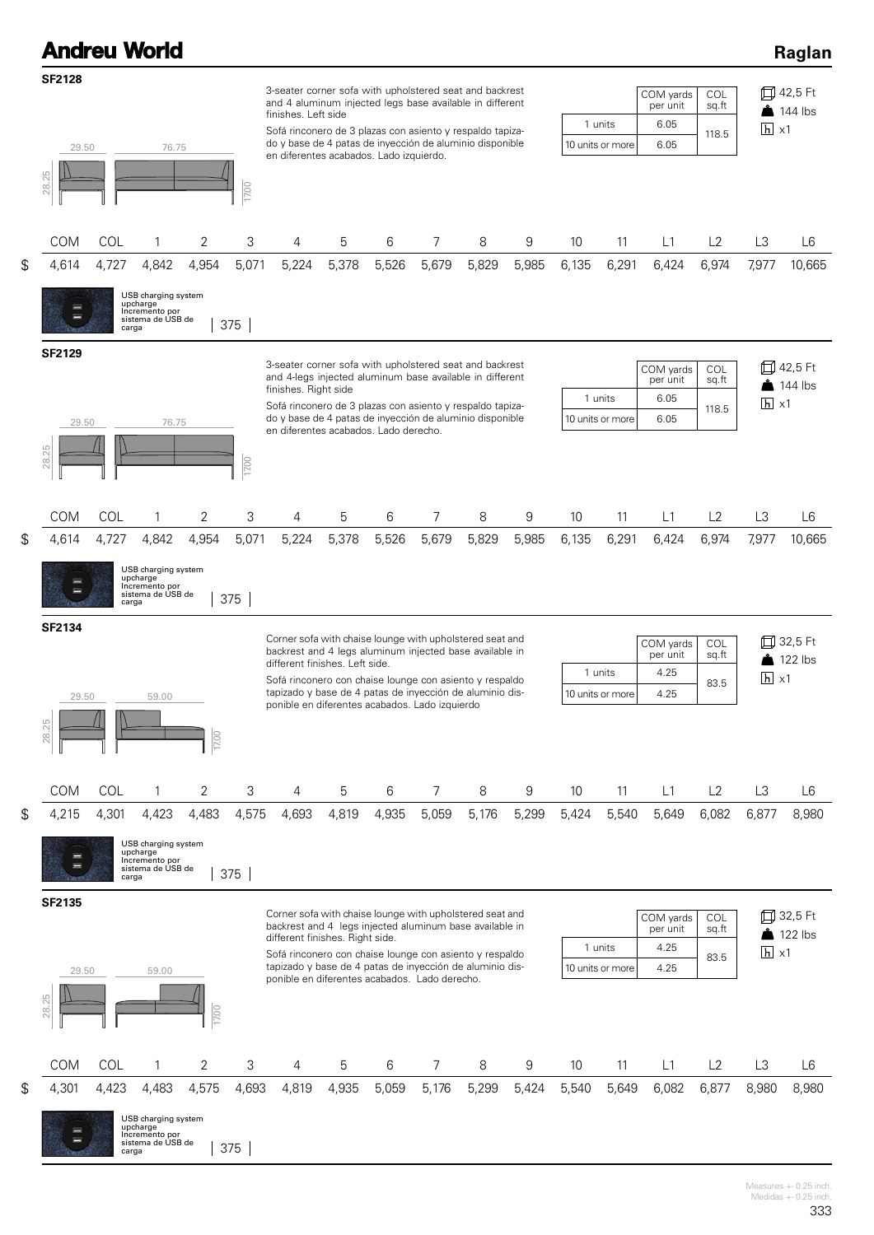|                                 |                | <b>Andreu World</b>                                                             |                |              |                                                                                                                                                                                                                                                                                                                                |            |            |            |            |            |             |                             |                                       |                       |                         | Raglan                             |
|---------------------------------|----------------|---------------------------------------------------------------------------------|----------------|--------------|--------------------------------------------------------------------------------------------------------------------------------------------------------------------------------------------------------------------------------------------------------------------------------------------------------------------------------|------------|------------|------------|------------|------------|-------------|-----------------------------|---------------------------------------|-----------------------|-------------------------|------------------------------------|
| <b>SF2128</b><br>29.50<br>28.25 |                | 76.75                                                                           |                |              | 3-seater corner sofa with upholstered seat and backrest<br>and 4 aluminum injected legs base available in different<br>finishes. Left side<br>Sofá rinconero de 3 plazas con asiento y respaldo tapiza-<br>do y base de 4 patas de inyección de aluminio disponible<br>en diferentes acabados. Lado izquierdo.                 |            |            |            |            |            |             | 1 units<br>10 units or more | COM yards<br>per unit<br>6.05<br>6.05 | COL<br>sq.ft<br>118.5 | $\overline{h}$ x1       | 口 42,5 Ft<br>$\overline{144}$ lbs  |
|                                 |                |                                                                                 |                | 1700         |                                                                                                                                                                                                                                                                                                                                |            |            |            |            |            |             |                             |                                       |                       |                         |                                    |
| COM                             | COL            | 1                                                                               | 2              | 3            | 4                                                                                                                                                                                                                                                                                                                              | 5          | 6          | 7          | 8          | 9          | 10          | 11                          | L1                                    | L2                    | L3                      | L6                                 |
| \$<br>4,614<br>l                | 4,727<br>carga | 4,842<br>USB charging system<br>upcharge<br>Incremento por<br>sistema de USB de | 4,954          | 5,071<br>375 | 5,224                                                                                                                                                                                                                                                                                                                          | 5,378      | 5,526      | 5,679      | 5,829      | 5,985      | 6,135       | 6,291                       | 6,424                                 | 6,974                 | 7,977                   | 10,665                             |
| <b>SF2129</b><br>29.50          |                | 76.75                                                                           |                |              | 3-seater corner sofa with upholstered seat and backrest<br>and 4-legs injected aluminum base available in different<br>finishes. Right side<br>Sofá rinconero de 3 plazas con asiento y respaldo tapiza-<br>do y base de 4 patas de inyección de aluminio disponible<br>en diferentes acabados. Lado derecho.                  |            |            |            |            |            |             | 1 units<br>10 units or more | COM yards<br>per unit<br>6.05<br>6.05 | COL<br>sq.ft<br>118.5 | $\overline{h}$ x1       | 口 42,5 Ft<br>$\triangle$ 144 lbs   |
| 28.25                           |                |                                                                                 |                | 17.00        |                                                                                                                                                                                                                                                                                                                                |            |            |            |            |            |             |                             |                                       |                       |                         |                                    |
| \$<br><b>COM</b><br>4,614       | COL<br>4,727   | 1<br>4,842                                                                      | 2<br>4,954     | 3<br>5,071   | 4<br>5,224                                                                                                                                                                                                                                                                                                                     | 5<br>5,378 | 6<br>5,526 | 7<br>5,679 | 8<br>5,829 | 9<br>5,985 | 10<br>6,135 | 11<br>6,291                 | L1<br>6,424                           | L2<br>6,974           | L <sub>3</sub><br>7,977 | L6<br>10,665                       |
| <b>SF2134</b>                   | carga          | USB charging system<br>upcharge<br>Incremento por<br>sistema de USB de          |                | 375          | Corner sofa with chaise lounge with upholstered seat and<br>backrest and 4 legs aluminum injected base available in<br>different finishes. Left side.                                                                                                                                                                          |            |            |            |            |            |             |                             | COM yards<br>per unit                 | COL<br>sq.ft          |                         | 口 32,5 Ft<br>$122$ lbs             |
| 29.50<br>28.25                  |                | 59.00                                                                           | 17.00          |              | Sofá rinconero con chaise lounge con asiento y respaldo<br>tapizado y base de 4 patas de inyección de aluminio dis-<br>ponible en diferentes acabados. Lado izquierdo                                                                                                                                                          |            |            |            |            |            |             | 1 units<br>10 units or more | 4.25<br>4.25                          | 83.5                  | $\overline{h}$ x1       |                                    |
| COM                             | COL            | 1                                                                               | 2              | 3            | 4                                                                                                                                                                                                                                                                                                                              | 5          | 6          | 7          | 8          | 9          | 10          | 11                          | L1                                    | L2                    | L <sub>3</sub>          | L6                                 |
| \$<br>4,215<br>Ξ                | 4,301<br>carga | 4,423<br>USB charging system<br>upcharge<br>Incremento por<br>sistema de USB de | 4,483          | 4,575<br>375 | 4,693                                                                                                                                                                                                                                                                                                                          | 4,819      | 4,935      | 5,059      | 5,176      | 5,299      | 5,424       | 5,540                       | 5,649                                 | 6,082                 | 6,877                   | 8,980                              |
| SF2135<br>29.50<br>28.25        |                | 59.00                                                                           | 17.00          |              | Corner sofa with chaise lounge with upholstered seat and<br>backrest and 4 legs injected aluminum base available in<br>different finishes. Right side.<br>Sofá rinconero con chaise lounge con asiento y respaldo<br>tapizado y base de 4 patas de inyección de aluminio dis-<br>ponible en diferentes acabados. Lado derecho. |            |            |            |            |            |             | 1 units<br>10 units or more | COM yards<br>per unit<br>4.25<br>4.25 | COL<br>sq.ft<br>83.5  | $\overline{h}$ x1       | 口 32,5 Ft<br>$\frac{3}{2}$ 122 lbs |
| COM                             | COL            | 1                                                                               | $\overline{2}$ | 3            | 4                                                                                                                                                                                                                                                                                                                              | 5          | 6          | 7          | 8          | 9          | 10          | 11                          | L1                                    | L2                    | L <sub>3</sub>          | L6                                 |
| \$<br>4,301                     | 4,423<br>carga | 4,483<br>USB charging system<br>upcharge<br>Incremento por<br>sistema de USB de | 4,575          | 4,693<br>375 | 4,819                                                                                                                                                                                                                                                                                                                          | 4,935      | 5,059      | 5,176      | 5,299      | 5,424      | 5,540       | 5,649                       | 6,082                                 | 6,877                 | 8,980                   | 8,980                              |

Measures +- 0.25 inch. Medidas +- 0.25 inch.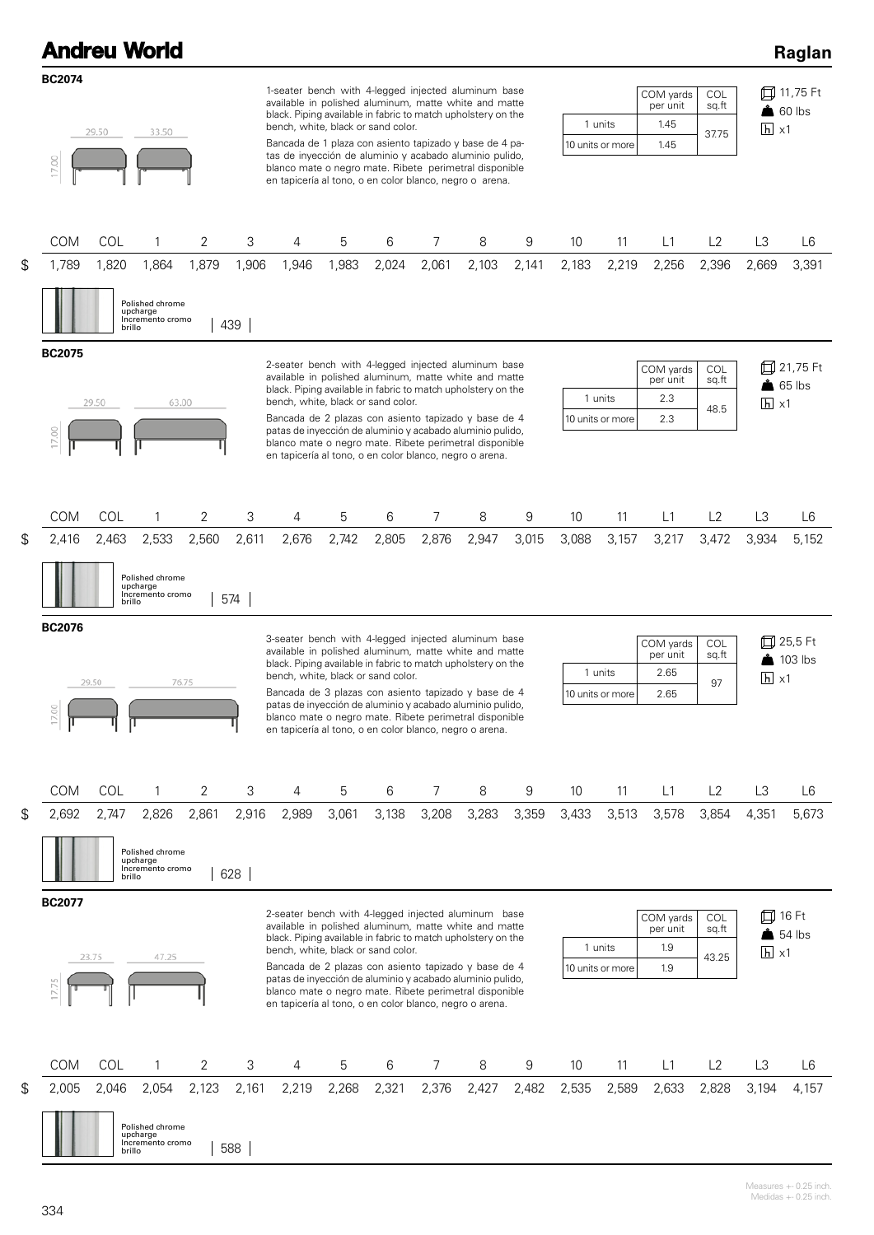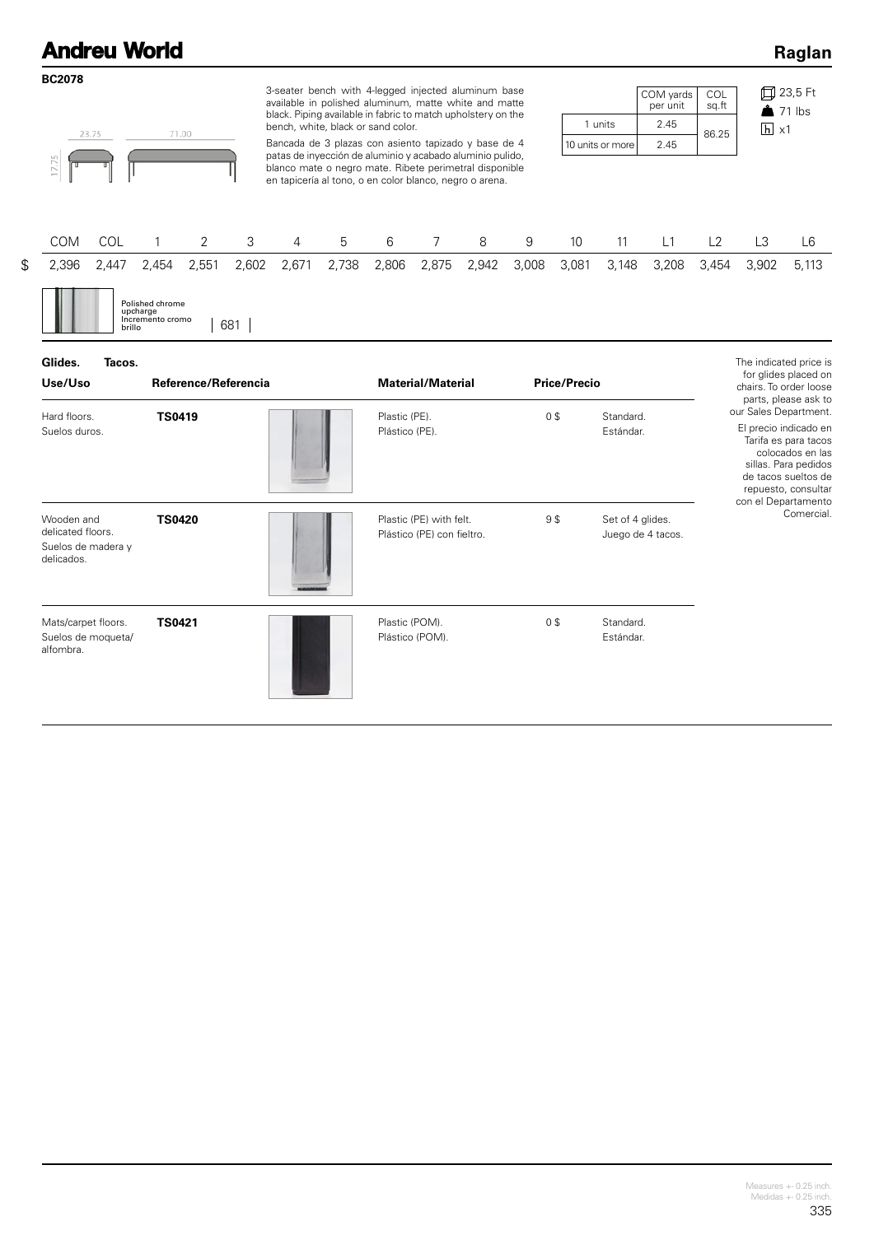#### **Andreu World Raglan BC2078** 3-seater bench with 4-legged injected aluminum base 23,5 Ft COM yards COL available in polished aluminum, matte white and matte per unit sq.ft  $21$  lbs black. Piping available in fabric to match upholstery on the 2.45 1 units bench, white, black or sand color.  $h \times 1$ 71.00 23.75 86.25 Bancada de 3 plazas con asiento tapizado y base de 4 2.45 10 units or more patas de inyección de aluminio y acabado aluminio pulido, blanco mate o negro mate. Ribete perimetral disponible en tapicería al tono, o en color blanco, negro o arena. COM COL 1 2 3 4 5 6 7 8 9 10 11 L1 L2 L3 L6 \$ 2,396 2,447 2,454 2,551 2,602 2,671 2,738 2,806 2,875 2,942 3,008 3,081 3,148 3,208 3,454 3,902 5,113 Polished chrome upcharge Incremento cromo Incremento cromo | 681 | **Glides. Tacos.** The indicated price is for glides placed on **Use/Uso Reference/Referencia Material/Material Price/Precio** chairs. To order loose parts, please ask to our Sales Department. Hard floors. Standard. **TS0419 Conserver Conserver Conserver Conserver Conserver Conserver Conserver Conserver Conserver Conserver Conserver Conserver Conserver Conserver Conserver Conserver Conserver Conserver Conserver Conserver Conserver Co** El precio indicado en Plástico (PE). Suelos duros. Estándar. Tarifa es para tacos colocados en las sillas. Para pedidos de tacos sueltos de repuesto, consultar

Plástico (PE) con fieltro.

Plástico (POM).

**TS0420** 9 \$

**TS0421 Constitution of the Constitution of the Plastic (POM).** Of the Constitution of the Constitution of the Constitution of the Constitution of the Constitution of the Constitution of the Constitution of the Constitut

Wooden and delicated floors. Suelos de madera y delicados.

Mats/carpet floors. Suelos de moqueta/ alfombra.

con el Departamento Comercial.

Set of 4 glides. Juego de 4 tacos.

Standard. Estándar.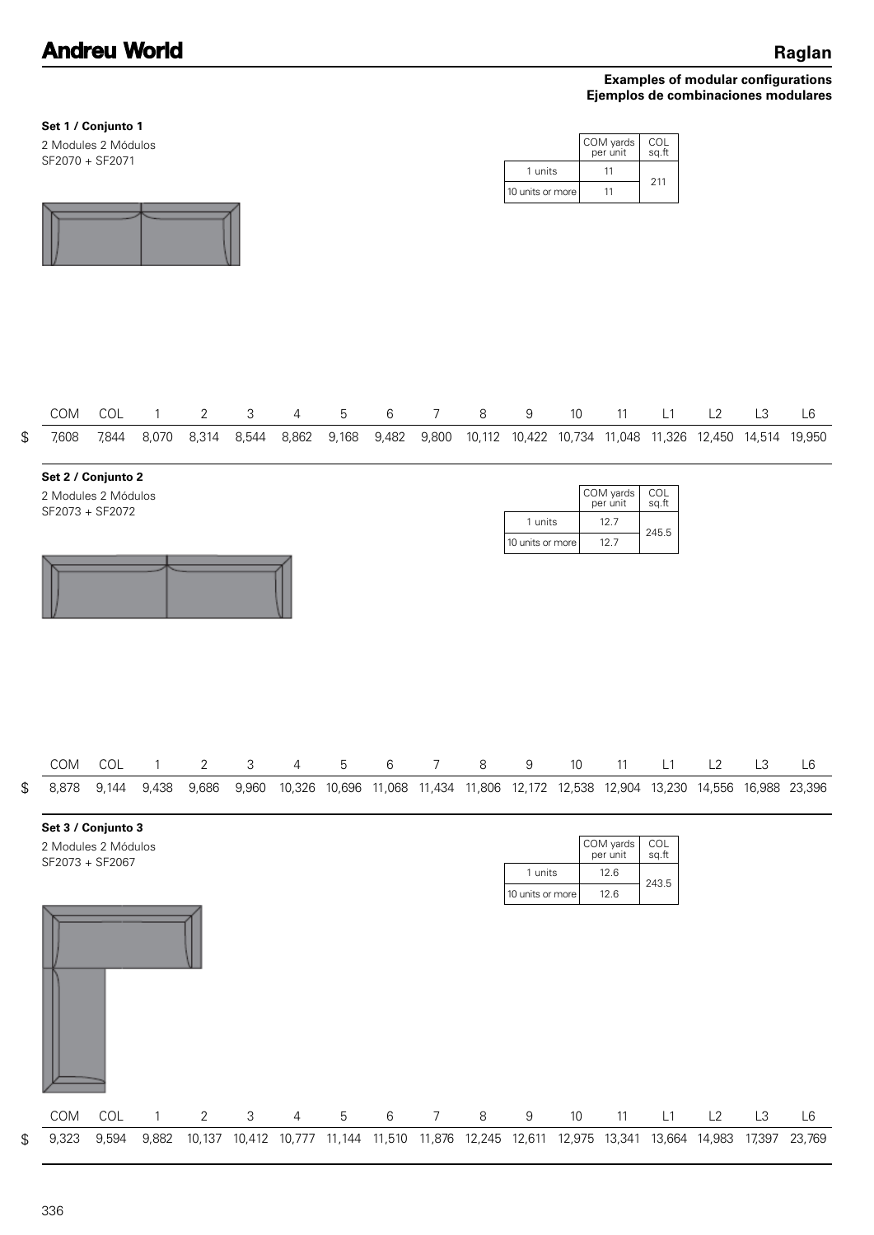|                                               | Set 1 / Conjunto 1<br>2 Modules 2 Módulos<br>SF2070 + SF2071 |       |              |                |            |                |             |         |                |         | 1 units<br>10 units or more |      | COM yards<br>per unit<br>11<br>11     | COL<br>sq.ft<br>211                                                                       |    |        |               |
|-----------------------------------------------|--------------------------------------------------------------|-------|--------------|----------------|------------|----------------|-------------|---------|----------------|---------|-----------------------------|------|---------------------------------------|-------------------------------------------------------------------------------------------|----|--------|---------------|
|                                               |                                                              |       |              |                |            |                |             |         |                |         |                             |      |                                       |                                                                                           |    |        |               |
|                                               |                                                              |       |              |                |            |                |             |         |                |         |                             |      |                                       |                                                                                           |    |        |               |
|                                               | COM                                                          | COL   | $\mathbf{1}$ | $\overline{2}$ | 3          | 4              | 5           | $\,6\,$ | $\overline{7}$ | 8       | 9                           | $10$ | 11                                    | L1                                                                                        | L2 | L3     | L6            |
| $\, \, \raisebox{12pt}{$\scriptstyle \circ$}$ | 7,608                                                        | 7,844 | 8,070        | 8,314          | 8,544      | 8,862          | 9,168       | 9,482   | 9,800          |         |                             |      |                                       | 10,112 10,422 10,734 11,048 11,326 12,450 14,514 19,950                                   |    |        |               |
|                                               | Set 2 / Conjunto 2<br>2 Modules 2 Módulos<br>SF2073 + SF2072 |       |              |                |            |                |             |         |                |         | 1 units<br>10 units or more |      | COM yards<br>per unit<br>12.7<br>12.7 | COL<br>sq.ft<br>245.5                                                                     |    |        |               |
| ${\mathbb S}$                                 | COM COL<br>8,878                                             | 9,144 | 1<br>9,438   | 2<br>9,686     | 3<br>9,960 | 4              | b           | 6       | $\prime$       | ୪       | 9                           | 10   | 11                                    | L1<br>10,326 10,696 11,068 11,434 11,806 12,172 12,538 12,904 13,230 14,556 16,988 23,396 | L2 | L3     | L6            |
|                                               | Set 3 / Conjunto 3<br>2 Modules 2 Módulos<br>SF2073 + SF2067 |       |              |                |            |                |             |         |                |         | 1 units<br>10 units or more |      | COM yards<br>per unit<br>12.6<br>12.6 | COL<br>sq.ft<br>243.5                                                                     |    |        |               |
|                                               | COM                                                          | COL   | $\mathbf{1}$ | $\overline{2}$ | 3          | $\overline{4}$ | $\mathbf 5$ | $\,6$   | $\overline{7}$ | $\,8\,$ | $\boldsymbol{9}$            | $10$ | 11                                    | L1                                                                                        | L2 | L3     | $\mathsf{L}6$ |
| \$                                            | 9,323                                                        | 9,594 | 9,882        |                |            |                |             |         |                |         |                             |      |                                       | 10,137 10,412 10,777 11,144 11,510 11,876 12,245 12,611 12,975 13,341 13,664 14,983       |    | 17,397 | 23,769        |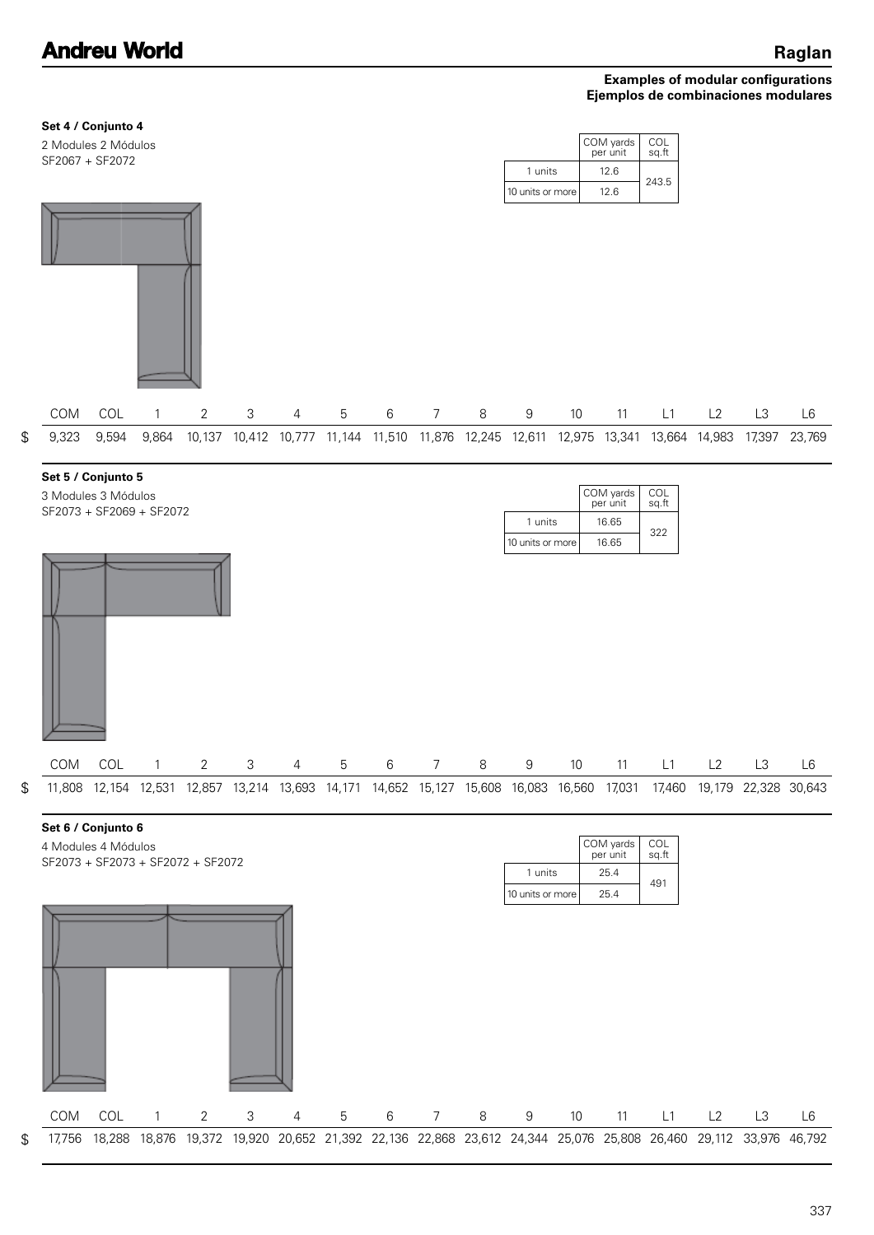

337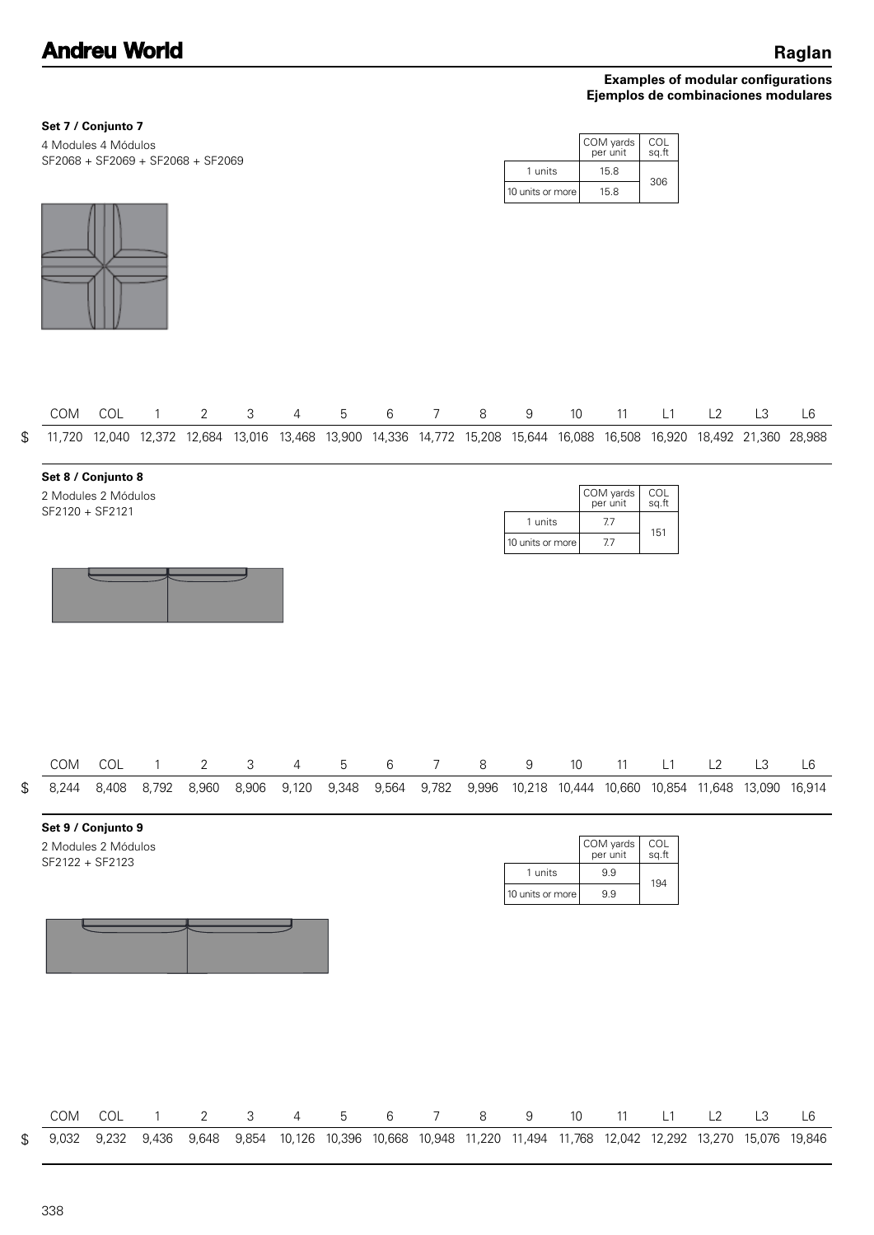151

COL sq.ft

| Set 7 / Conjunto 7                                       |                      |                       |              |
|----------------------------------------------------------|----------------------|-----------------------|--------------|
| 4 Modules 4 Módulos<br>SF2068 + SF2069 + SF2068 + SF2069 |                      | COM yards<br>per unit | COL<br>sa.ft |
|                                                          | units                | 15.8                  | 306          |
|                                                          | l 10 units or more l | 15.8                  |              |



|  |  |  |  | COM COL 1 2 3 4 5 6 7 8 9 10 11 L1 L2 L3 L6                                                                               |  |  |  |  |
|--|--|--|--|---------------------------------------------------------------------------------------------------------------------------|--|--|--|--|
|  |  |  |  | \$ 11,720 12,040 12,372 12,684 13,016 13,468 13,900 14,336 14,772 15,208 15,644 16,088 16,508 16,920 18,492 21,360 28,988 |  |  |  |  |

| Set 8 / Conjunto 8                     |                  |                       |
|----------------------------------------|------------------|-----------------------|
| 2 Modules 2 Módulos<br>SF2120 + SF2121 |                  | COM yards<br>per unit |
|                                        | units            | 7.7                   |
|                                        | 10 units or more | 7.7                   |



|  |  |  |  |  | COM COL 1 2 3 4 5 6 7 8 9 10 11 L1 L2 L3 L6                                                                     |  |  |  |
|--|--|--|--|--|-----------------------------------------------------------------------------------------------------------------|--|--|--|
|  |  |  |  |  | \$ 8.244 8.408 8.792 8.960 8.906 9.120 9.348 9.564 9.782 9.996 10.218 10.444 10.660 10.854 11.648 13.090 16.914 |  |  |  |

| Set 9 / Conjunto 9                     |                  |                       |              |
|----------------------------------------|------------------|-----------------------|--------------|
| 2 Modules 2 Módulos<br>SF2122 + SF2123 |                  | COM yards<br>per unit | COL<br>sq.ft |
|                                        | 1 units          | 9.9                   |              |
|                                        | 10 units or more | 9.9                   | 194          |

|  |  |  | COM COL 1 2 3 4 5 6 7 8 9 10 11 L1 L2 L3                                                                             |  |  |  |  |  |  |
|--|--|--|----------------------------------------------------------------------------------------------------------------------|--|--|--|--|--|--|
|  |  |  | \$ 9,032 9,232 9,436 9,648 9,854 10,126 10,396 10,668 10,948 11,220 11,494 11,768 12,042 12,292 13,270 15,076 19,846 |  |  |  |  |  |  |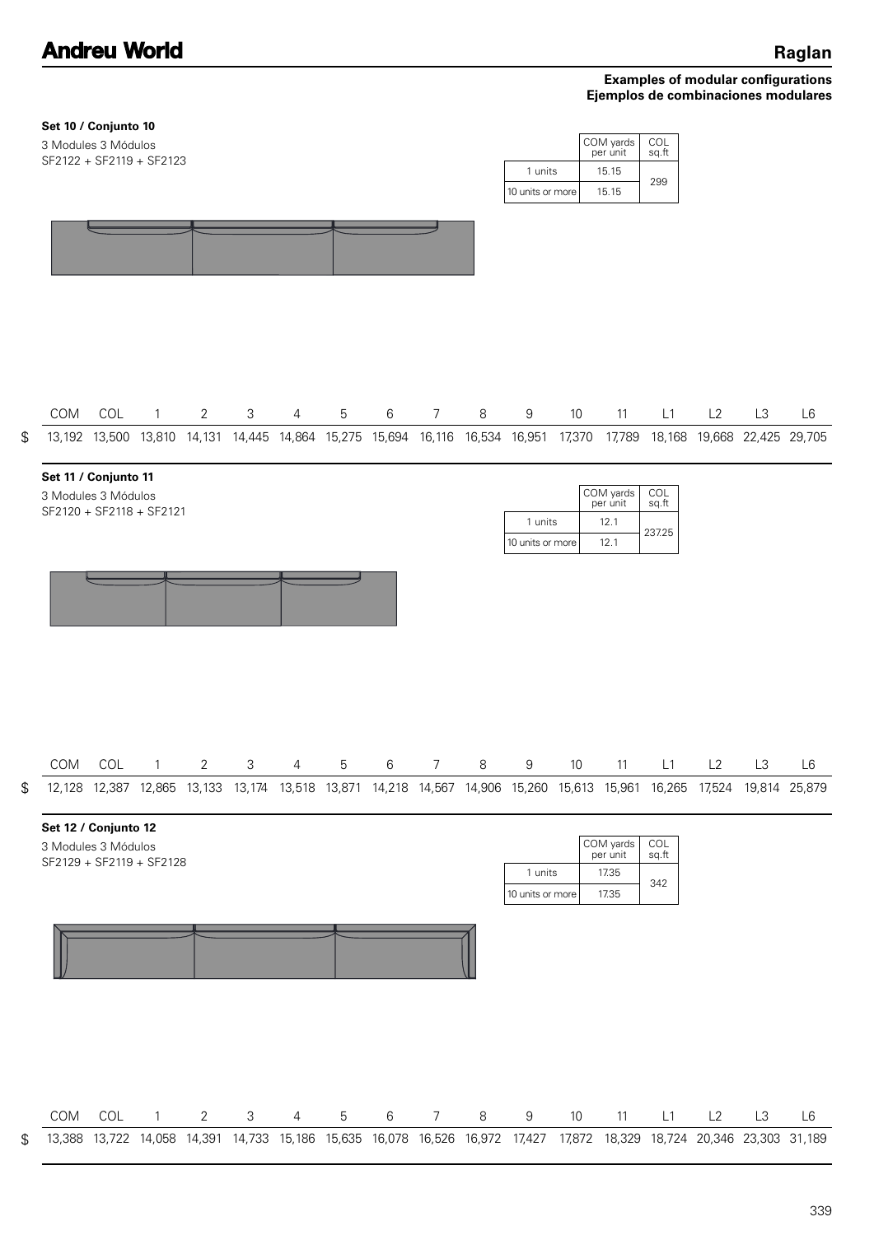|     |     |              |                                                                                                                                           |                                                                                                            |                |   |         |                |   |                  |                 |                                                                                           | COL<br>sq.ft                                                                     |    |    |                                                                                                                                                                                                                                                                                                                                                                            |
|-----|-----|--------------|-------------------------------------------------------------------------------------------------------------------------------------------|------------------------------------------------------------------------------------------------------------|----------------|---|---------|----------------|---|------------------|-----------------|-------------------------------------------------------------------------------------------|----------------------------------------------------------------------------------|----|----|----------------------------------------------------------------------------------------------------------------------------------------------------------------------------------------------------------------------------------------------------------------------------------------------------------------------------------------------------------------------------|
|     |     |              |                                                                                                                                           |                                                                                                            |                |   |         |                |   |                  |                 | 15.15                                                                                     | 299                                                                              |    |    |                                                                                                                                                                                                                                                                                                                                                                            |
|     |     |              |                                                                                                                                           |                                                                                                            |                |   |         |                |   |                  |                 |                                                                                           |                                                                                  |    |    |                                                                                                                                                                                                                                                                                                                                                                            |
| COM | COL |              | $\overline{2}$                                                                                                                            | 3                                                                                                          | $\overline{4}$ | 5 | $6\,$   | 7              | 8 | 9                | 10 <sup>°</sup> | 11                                                                                        | L1                                                                               | L2 | L3 | L <sub>6</sub>                                                                                                                                                                                                                                                                                                                                                             |
|     |     |              |                                                                                                                                           |                                                                                                            |                |   |         |                |   |                  |                 | 12.1<br>12.1                                                                              | COL<br>sq.ft<br>237.25                                                           |    |    |                                                                                                                                                                                                                                                                                                                                                                            |
|     |     |              |                                                                                                                                           |                                                                                                            |                |   |         |                |   |                  |                 |                                                                                           |                                                                                  |    |    |                                                                                                                                                                                                                                                                                                                                                                            |
| COM | COL | 1            | 2                                                                                                                                         | З                                                                                                          | 4              | 5 | 6       | 7              | 8 | 9                | 10              | 11                                                                                        | L1                                                                               | L2 | L3 | L6                                                                                                                                                                                                                                                                                                                                                                         |
|     |     |              |                                                                                                                                           |                                                                                                            |                |   |         |                |   |                  |                 | 17.35<br>17.35                                                                            | COL<br>sq.ft<br>342                                                              |    |    |                                                                                                                                                                                                                                                                                                                                                                            |
|     |     |              |                                                                                                                                           |                                                                                                            |                |   |         |                |   |                  |                 |                                                                                           |                                                                                  |    |    |                                                                                                                                                                                                                                                                                                                                                                            |
| COM | COL | $\mathbf{1}$ | $\overline{2}$                                                                                                                            | $\ensuremath{\mathsf{3}}$                                                                                  | 4              | 5 | $\,6\,$ | $\overline{7}$ | 8 | $\boldsymbol{9}$ | 10              | 11                                                                                        | L1                                                                               | L2 | L3 | L <sub>6</sub>                                                                                                                                                                                                                                                                                                                                                             |
|     |     |              | Set 10 / Conjunto 10<br>3 Modules 3 Módulos<br>Set 11 / Conjunto 11<br>3 Modules 3 Módulos<br>Set 12 / Conjunto 12<br>3 Modules 3 Módulos | SF2122 + SF2119 + SF2123<br>$1 \quad \blacksquare$<br>SF2120 + SF2118 + SF2121<br>SF2129 + SF2119 + SF2128 |                |   |         |                |   |                  |                 | 1 units<br>10 units or more<br>1 units<br>10 units or more<br>1 units<br>10 units or more | COM yards<br>per unit<br>15.15<br>COM yards<br>per unit<br>COM yards<br>per unit |    |    | 13,192 13,500 13,810 14,131 14,445 14,864 15,275 15,694 16,116 16,534 16,951 17,370 17,789 18,168 19,668 22,425 29,705<br>12,128 12,387 12,865 13,133 13,174 13,518 13,871 14,218 14,567 14,906 15,260 15,613 15,961 16,265 17,524 19,814 25,879<br>13,388 13,722 14,058 14,391 14,733 15,186 15,635 16,078 16,526 16,972 17,427 17,872 18,329 18,724 20,346 23,303 31,189 |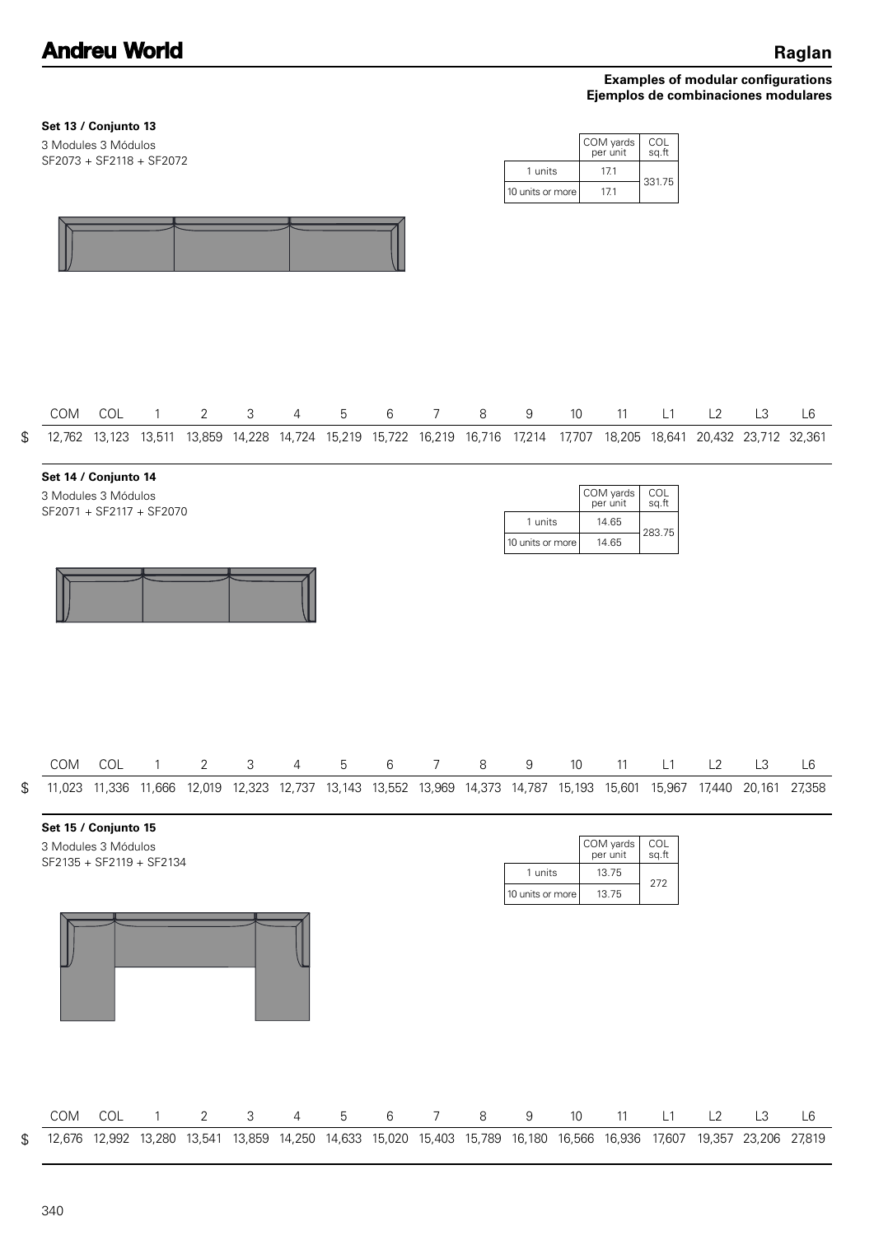**Set 13 / Conjunto 13**

3 Modules 3 Módulos

\$

\$

### **Examples of modular configurations Ejemplos de combinaciones modulares**

| COM | Set 15 / Conjunto 15<br>3 Modules 3 Módulos<br>SF2135 + SF2119 + SF2134<br>COL | $\mathbf{1}$ | $\overline{2}$ | $\mathfrak{S}$ | 4 | $5\phantom{.0}$ | $\,6\,$ | $7\overline{ }$ | 8       | 1 units<br>10 units or more<br>9<br>12,676 12,992 13,280 13,541 13,859 14,250 14,633 15,020 15,403 15,789 16,180 16,566 16,936 17,607 19,357 23,206 | 10   | COM yards<br>per unit<br>13.75<br>13.75<br>11 | COL<br>sq.ft<br>272<br>L1 | L2 | L3 | L6<br>27,819 |
|-----|--------------------------------------------------------------------------------|--------------|----------------|----------------|---|-----------------|---------|-----------------|---------|-----------------------------------------------------------------------------------------------------------------------------------------------------|------|-----------------------------------------------|---------------------------|----|----|--------------|
|     |                                                                                |              |                |                |   |                 |         |                 |         |                                                                                                                                                     |      |                                               |                           |    |    |              |
|     |                                                                                |              |                |                |   |                 |         |                 |         |                                                                                                                                                     |      |                                               |                           |    |    |              |
|     |                                                                                |              |                |                |   |                 |         |                 |         |                                                                                                                                                     |      |                                               |                           |    |    |              |
|     |                                                                                |              |                |                |   |                 |         |                 |         |                                                                                                                                                     |      |                                               |                           |    |    |              |
|     |                                                                                |              |                |                |   |                 |         |                 |         |                                                                                                                                                     |      |                                               |                           |    |    |              |
|     |                                                                                |              |                |                |   |                 |         |                 |         | 11,023 11,336 11,666 12,019 12,323 12,737 13,143 13,552 13,969 14,373 14,787 15,193 15,601 15,967 17,440 20,161 27,358                              |      |                                               |                           |    |    |              |
| COM | COL                                                                            | $\mathbf{1}$ | $\overline{2}$ | 3              | 4 | 5               | 6       | 7               | $\,8\,$ | $9\,$                                                                                                                                               | $10$ | 11                                            | L1                        | L2 | L3 | L6           |
|     |                                                                                |              |                |                |   |                 |         |                 |         |                                                                                                                                                     |      |                                               |                           |    |    |              |
|     |                                                                                |              |                |                |   |                 |         |                 |         | 1 units<br>10 units or more                                                                                                                         |      | 14.65<br>14.65                                | 283.75                    |    |    |              |
|     | Set 14 / Conjunto 14<br>3 Modules 3 Módulos<br>SF2071 + SF2117 + SF2070        |              |                |                |   |                 |         |                 |         |                                                                                                                                                     |      | COM yards<br>per unit                         | COL<br>sq.ft              |    |    |              |
|     |                                                                                |              |                |                |   |                 |         |                 |         | 12,762 13,123 13,511 13,859 14,228 14,724 15,219 15,722 16,219 16,716 17,214 17,707 18,205 18,641 20,432 23,712 32,361                              |      |                                               |                           |    |    |              |
| COM | COL                                                                            | $\mathbf{1}$ | 2              | 3              | 4 | 5               | 6       | 7               | 8       | 9                                                                                                                                                   | 10   | 11                                            | L1                        | L2 | L3 | L6           |
|     |                                                                                |              |                |                |   |                 |         |                 |         |                                                                                                                                                     |      |                                               |                           |    |    |              |
|     |                                                                                |              |                |                |   |                 |         |                 |         |                                                                                                                                                     |      |                                               |                           |    |    |              |
|     |                                                                                |              |                |                |   |                 |         |                 |         | 10 units or more                                                                                                                                    |      | 17.1                                          |                           |    |    |              |
|     |                                                                                |              |                |                |   |                 |         |                 |         | 1 units                                                                                                                                             |      | 17.1                                          | 331.75                    |    |    |              |
|     | SF2073 + SF2118 + SF2072                                                       |              |                |                |   |                 |         |                 |         |                                                                                                                                                     |      |                                               |                           |    |    |              |

 $\, \, \raisebox{-1.5pt}{\text{\circle*{1.5}}}\,$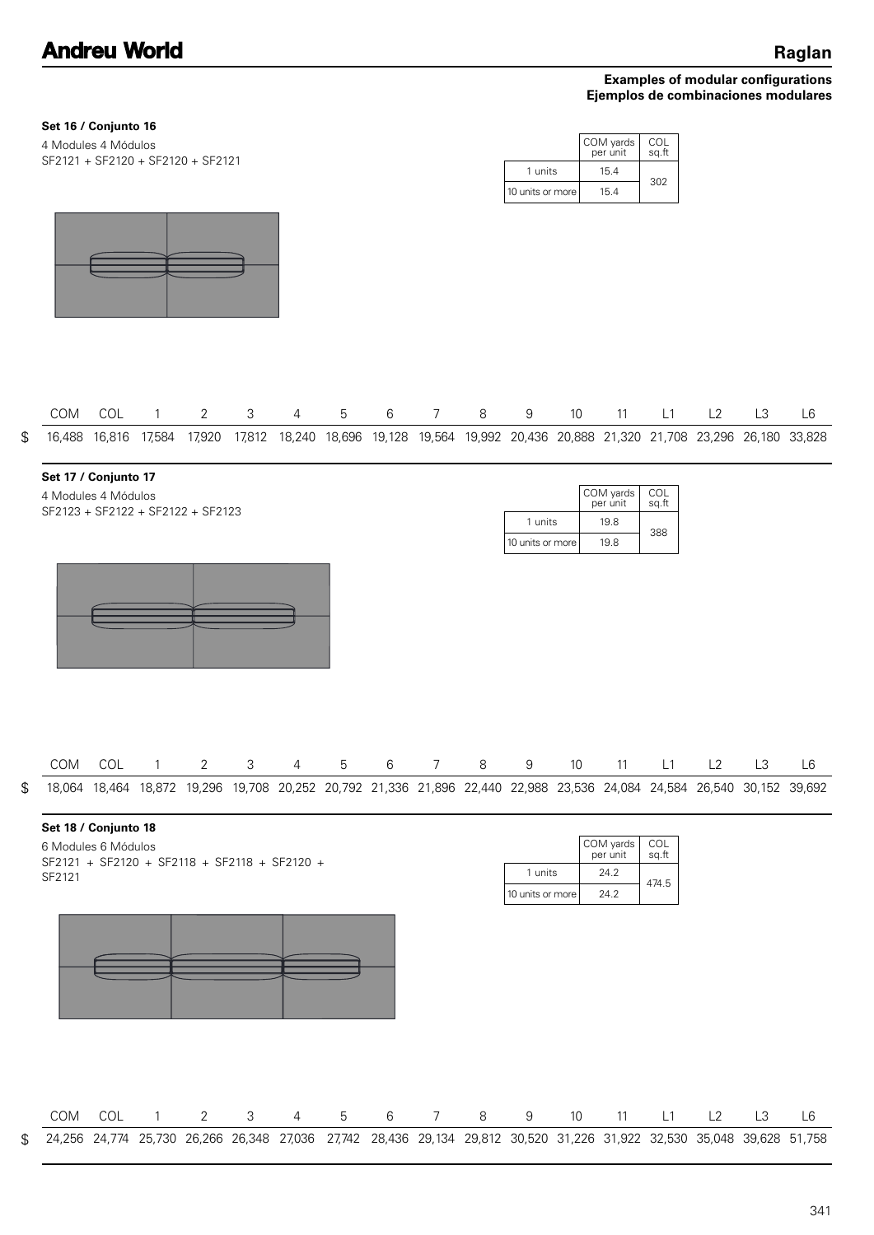## **Set 16 / Conjunto 16**

| 4 Modules 4 Módulos               |  |
|-----------------------------------|--|
| SF2121 + SF2120 + SF2120 + SF2121 |  |

|                  | COM yards<br>per unit | COL<br>sq.ft |
|------------------|-----------------------|--------------|
| 1 units          | 15.4                  | 302          |
| 10 units or more | 15.4                  |              |



|  | COM COL 1 2 3 4 5 6 7 8 9 10 11 L1 L2 L3 L6 |  |  |  |  |  |  |  |                                                                                                                           |
|--|---------------------------------------------|--|--|--|--|--|--|--|---------------------------------------------------------------------------------------------------------------------------|
|  |                                             |  |  |  |  |  |  |  | \$ 16,488 16,816 17,584 17,920 17,812 18,240 18,696 19,128 19,564 19,992 20,436 20,888 21,320 21,708 23,296 26,180 33,828 |

#### **Set 17 / Conjunto 17**

SF2123 + SF2122 + SF2122 + SF2123 4 Modules 4 Módulos

|                  | COM yards<br>per unit | COL<br>sq.ft |
|------------------|-----------------------|--------------|
| 1 units          | 19.8                  | 388          |
| 10 units or more | 19.8                  |              |



|                                                                                                                        |  |  |  | COM COL 1 2 3 4 5 6 7 8 9 10 11 L1 L2 L3 L6 |  |  |  |  |  |
|------------------------------------------------------------------------------------------------------------------------|--|--|--|---------------------------------------------|--|--|--|--|--|
| 18,064 18,464 18,872 19,296 19,708 20,252 20,792 21,336 21,896 22,440 22,988 23,536 24,084 24,584 26,540 30,152 39,692 |  |  |  |                                             |  |  |  |  |  |

### **Set 18 / Conjunto 18**

\$

| 6 Modules 6 Módulos                          |  |  |  |  |  |
|----------------------------------------------|--|--|--|--|--|
| SF2121 + SF2120 + SF2118 + SF2118 + SF2120 + |  |  |  |  |  |
| SF2121                                       |  |  |  |  |  |

|                  | COM yards<br>per unit | COL<br>sq.ft |
|------------------|-----------------------|--------------|
| 1 units          | 24.2                  | 474.5        |
| 10 units or more | 24 2                  |              |



|                                                                                                                           |  | COM COL 1 2 3 4 5 6 7 8 9 10 11 L1 L2 L3 |  |  |  |  |  |  |
|---------------------------------------------------------------------------------------------------------------------------|--|------------------------------------------|--|--|--|--|--|--|
| \$ 24,256 24,774 25,730 26,266 26,348 27,036 27,742 28,436 29,134 29,812 30,520 31,226 31,922 32,530 35,048 39,628 51,758 |  |                                          |  |  |  |  |  |  |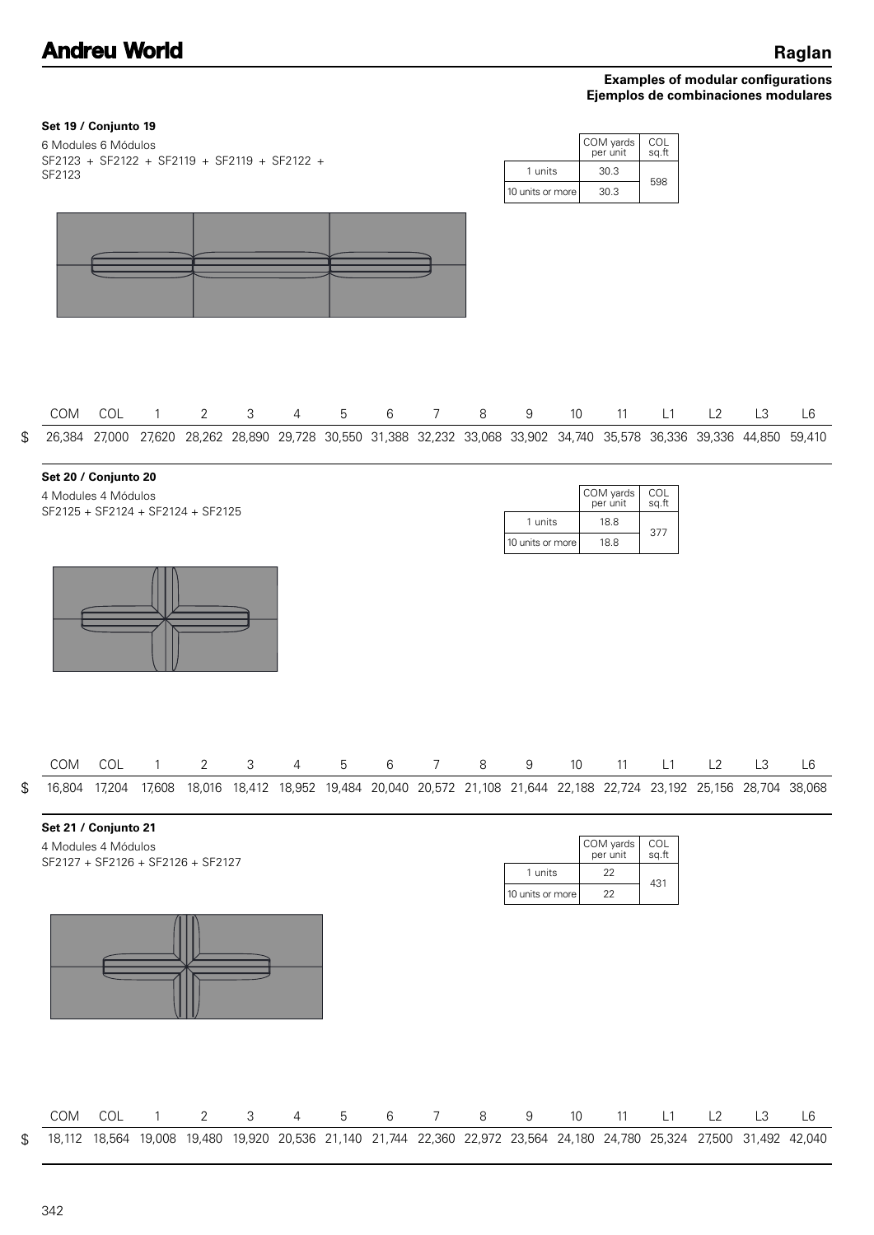| Set 19 / Conjunto 19<br>6 Modules 6 Módulos<br>SF2123 + SF2122 + SF2119 + SF2119 + SF2122 +<br>SF2123 |     |                |                |               |                |                 |                 |                 |   | 1 units<br>10 units or more                                                                                                 |    | COM yards<br>per unit<br>30.3<br>30.3 | COL<br>sq.ft<br>598 |    |                |    |
|-------------------------------------------------------------------------------------------------------|-----|----------------|----------------|---------------|----------------|-----------------|-----------------|-----------------|---|-----------------------------------------------------------------------------------------------------------------------------|----|---------------------------------------|---------------------|----|----------------|----|
| \$<br>COM                                                                                             | COL | $\overline{1}$ | $\overline{2}$ | 3             | $\overline{4}$ | 5               | 6               | $7\overline{ }$ | 8 | 9<br>26,384 27,000 27,620 28,262 28,890 29,728 30,550 31,388 32,232 33,068 33,902 34,740 35,578 36,336 39,336 44,850 59,410 | 10 | 11                                    | L1                  | L2 | L <sub>3</sub> | L6 |
| Set 20 / Conjunto 20<br>4 Modules 4 Módulos<br>SF2125 + SF2124 + SF2124 + SF2125                      |     |                |                |               |                |                 |                 |                 |   | 1 units<br>10 units or more                                                                                                 |    | COM yards<br>per unit<br>18.8<br>18.8 | COL<br>sq.ft<br>377 |    |                |    |
|                                                                                                       |     |                |                |               |                |                 |                 |                 |   |                                                                                                                             |    |                                       |                     |    |                |    |
| COM                                                                                                   |     | COL 1          | $2^{\circ}$    | 3             |                |                 | 4 5 6 7         |                 | 8 | 9                                                                                                                           |    |                                       | 10 11 L1 L2 L3 L6   |    |                |    |
| \$                                                                                                    |     |                |                |               |                |                 |                 |                 |   | 16,804 17,204 17,608 18,016 18,412 18,952 19,484 20,040 20,572 21,108 21,644 22,188 22,724 23,192 25,156 28,704 38,068      |    |                                       |                     |    |                |    |
| Set 21 / Conjunto 21<br>4 Modules 4 Módulos<br>SF2127 + SF2126 + SF2126 + SF2127                      |     |                |                |               |                |                 |                 |                 |   | 1 units<br>10 units or more                                                                                                 |    | COM yards<br>per unit<br>22<br>22     | COL<br>sq.ft<br>431 |    |                |    |
|                                                                                                       |     |                |                |               |                |                 |                 |                 |   |                                                                                                                             |    |                                       |                     |    |                |    |
| COM                                                                                                   | COL | $\overline{1}$ | $\overline{2}$ | $\mathcal{S}$ | $\overline{4}$ | $5\overline{)}$ | $6\phantom{.0}$ | $\overline{7}$  | 8 | 9                                                                                                                           | 10 | 11                                    | L1                  | L2 | L3             | L6 |
| \$                                                                                                    |     |                |                |               |                |                 |                 |                 |   | 18,112 18,564 19,008 19,480 19,920 20,536 21,140 21,744 22,360 22,972 23,564 24,180 24,780 25,324 27,500 31,492 42,040      |    |                                       |                     |    |                |    |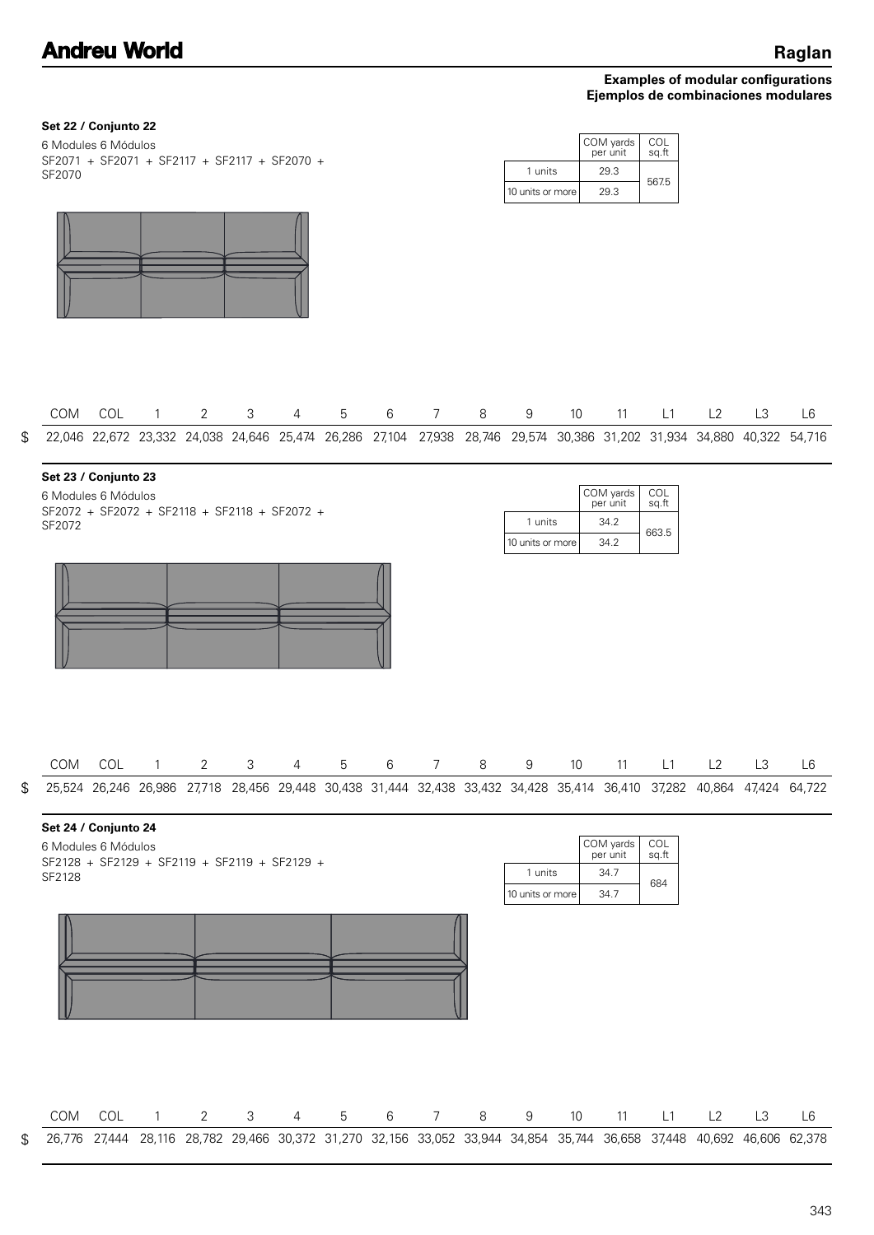|  | Set 22 / Conjunto 22 |  |
|--|----------------------|--|
|--|----------------------|--|

| 6 Modules 6 Módulos                          |  |
|----------------------------------------------|--|
| SF2071 + SF2071 + SF2117 + SF2117 + SF2070 + |  |
| SF2070                                       |  |

|                  | COM yards<br>per unit | COL<br>sq.ft |
|------------------|-----------------------|--------------|
| 1 units          | 29.3                  | 567.5        |
| 10 units or more | 29.3                  |              |



|  |  |  | COM COL 1 2 3 4 5 6 7 8 9 10 11 L1 L2 L3                                                                                  |  |  |  |  |  |
|--|--|--|---------------------------------------------------------------------------------------------------------------------------|--|--|--|--|--|
|  |  |  | \$ 22,046 22,672 23,332 24,038 24,646 25,474 26,286 27,104 27,938 28,746 29,574 30,386 31,202 31,934 34,880 40,322 54,716 |  |  |  |  |  |

#### **Set 23 / Conjunto 23**

SF2072 + SF2072 + SF2118 + SF2118 + SF2072 + SF2072 6 Modules 6 Módulos

|                  | COM yards<br>per unit | COL<br>sq.ft |
|------------------|-----------------------|--------------|
| 1 units          | 34.2                  | 663.5        |
| 10 units or more | 34.2                  |              |



| COM COL 1 2 3 4 5 6 7 8 9 10 11 L1 L2 L3 L6                                                                            |  |  |  |  |  |  |  |  |
|------------------------------------------------------------------------------------------------------------------------|--|--|--|--|--|--|--|--|
| 25,524 26,246 26,986 27,718 28,456 29,448 30,438 31,444 32,438 33,432 34,428 35,414 36,410 37,282 40,864 47,424 64,722 |  |  |  |  |  |  |  |  |

### **Set 24 / Conjunto 24**

\$

| 6 Modules 6 Módulos                          |  |  |  |  |  |
|----------------------------------------------|--|--|--|--|--|
| SF2128 + SF2129 + SF2119 + SF2119 + SF2129 + |  |  |  |  |  |
| SF2128                                       |  |  |  |  |  |

|                  | COM yards<br>per unit | COL<br>sg.ft |
|------------------|-----------------------|--------------|
| 1 units          | 34.7                  | 684          |
| 10 units or more | 34 7                  |              |

|                                                                                                                           |  |  |  |  |  | COM COL 1 2 3 4 5 6 7 8 9 10 11 L1 L2 L3 |  | $\overline{6}$ |
|---------------------------------------------------------------------------------------------------------------------------|--|--|--|--|--|------------------------------------------|--|----------------|
| \$ 26,776 27,444 28,116 28,782 29,466 30,372 31,270 32,156 33,052 33,944 34,854 35,744 36,658 37,448 40,692 46,606 62,378 |  |  |  |  |  |                                          |  |                |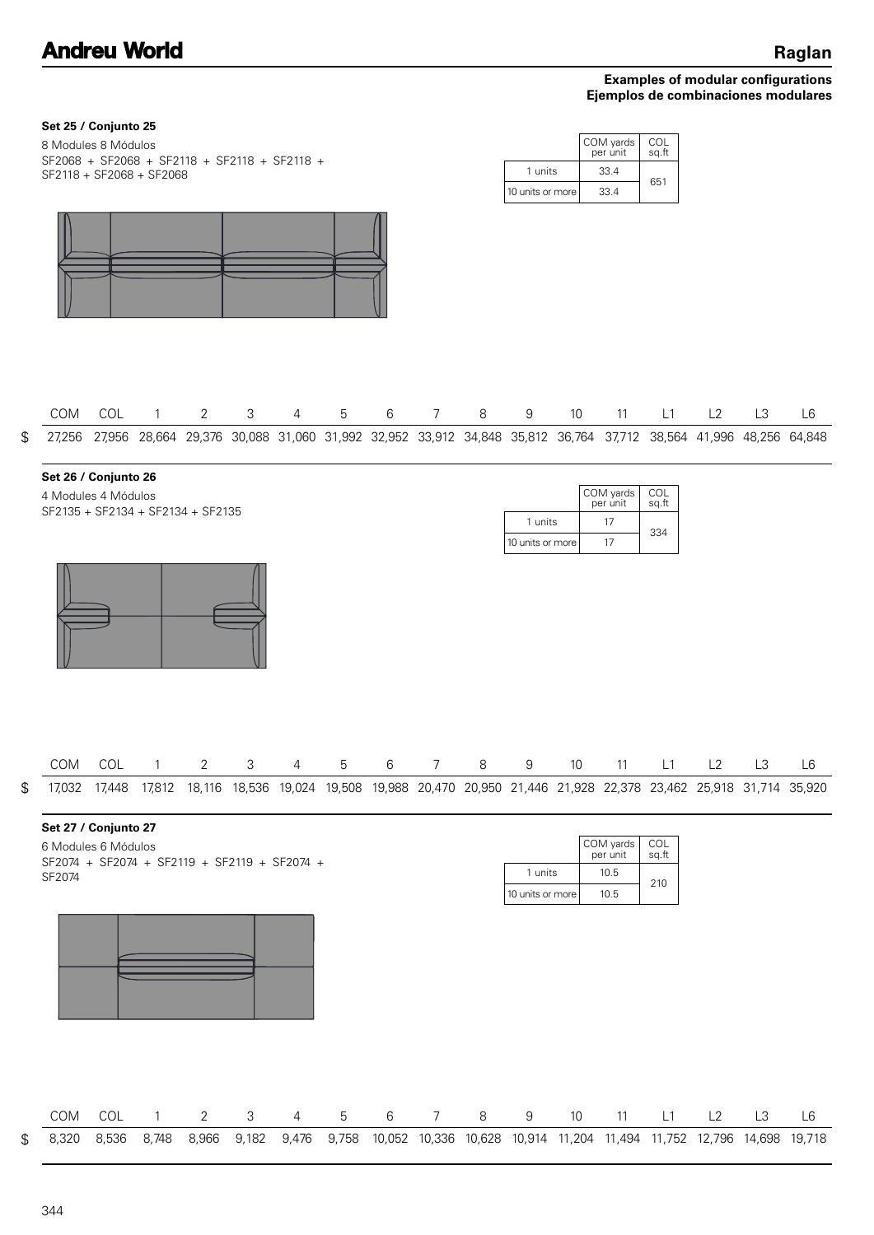| Set 25 / Conjunto 25<br>8 Modules 8 Módulos                                                           |       |                |                |       |                |            |                 |                 |         |                             |      | COM yards<br>per unit                                                                                                  | COL<br>sq.ft        |    |                |                |
|-------------------------------------------------------------------------------------------------------|-------|----------------|----------------|-------|----------------|------------|-----------------|-----------------|---------|-----------------------------|------|------------------------------------------------------------------------------------------------------------------------|---------------------|----|----------------|----------------|
| SF2068 + SF2068 + SF2118 + SF2118 + SF2118 +<br>SF2118 + SF2068 + SF2068                              |       |                |                |       |                |            |                 |                 |         | 1 units                     |      | 33.4                                                                                                                   | 651                 |    |                |                |
|                                                                                                       |       |                |                |       |                |            |                 |                 |         | 10 units or more            |      | 33.4                                                                                                                   |                     |    |                |                |
| COM                                                                                                   | COL   | $\overline{1}$ | $2^{\circ}$    | 3     | $\overline{4}$ | $\sqrt{5}$ | $6\phantom{.}6$ | $7\overline{ }$ | 8       | 9                           | $10$ | 11                                                                                                                     | L1                  | L2 | L <sub>3</sub> | L <sub>6</sub> |
| \$                                                                                                    |       |                |                |       |                |            |                 |                 |         |                             |      | 27,256 27,956 28,664 29,376 30,088 31,060 31,992 32,952 33,912 34,848 35,812 36,764 37,712 38,564 41,996 48,256 64,848 |                     |    |                |                |
| Set 26 / Conjunto 26<br>4 Modules 4 Módulos<br>SF2135 + SF2134 + SF2134 + SF2135                      |       |                |                |       |                |            |                 |                 |         | 1 units<br>10 units or more |      | COM yards<br>per unit<br>17<br>17                                                                                      | COL<br>sq.ft<br>334 |    |                |                |
|                                                                                                       |       | COM COL 1      | $2^{\circ}$    |       |                |            |                 | 3 4 5 6 7 8     |         | 9                           |      | 10 11 L1 L2 L3 L6                                                                                                      |                     |    |                |                |
| \$                                                                                                    |       |                |                |       |                |            |                 |                 |         |                             |      | 17,032 17,448 17,812 18,116 18,536 19,024 19,508 19,988 20,470 20,950 21,446 21,928 22,378 23,462 25,918 31,714 35,920 |                     |    |                |                |
| Set 27 / Conjunto 27<br>6 Modules 6 Módulos<br>SF2074 + SF2074 + SF2119 + SF2119 + SF2074 +<br>SF2074 |       |                |                |       |                |            |                 |                 |         | 1 units<br>10 units or more |      | COM yards<br>per unit<br>10.5<br>10.5                                                                                  | COL<br>sq.ft<br>210 |    |                |                |
| COM                                                                                                   | COL   | $\mathbf{1}$   | $\overline{2}$ | 3     | $\overline{4}$ | 5          | 6               | $\overline{7}$  | $\,8\,$ | 9                           | 10   | 11                                                                                                                     | L1                  | L2 | L3             | L <sub>6</sub> |
| \$<br>8,320                                                                                           | 8,536 | 8,748          | 8,966          | 9,182 | 9,476          | 9,758      |                 |                 |         |                             |      | 10,052 10,336 10,628 10,914 11,204 11,494 11,752 12,796 14,698 19,718                                                  |                     |    |                |                |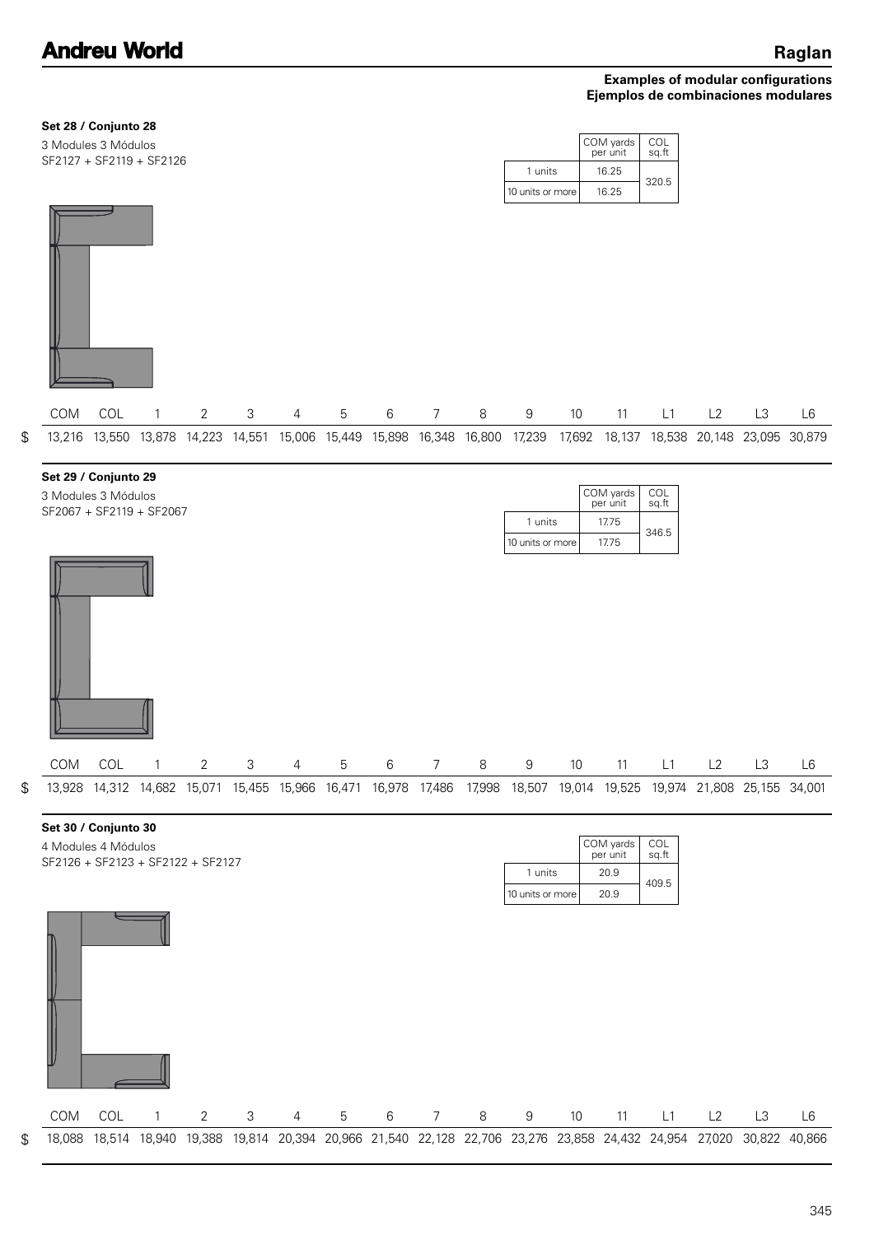| Set 28 / Conjunto 28 |
|----------------------|
|----------------------|

| 3 Modules 3 Módulos<br>SF2127 + SF2119 + SF2126 |                  | COM yards<br>per unit | COL<br>sq.ft |
|-------------------------------------------------|------------------|-----------------------|--------------|
|                                                 | 1 units          | 16.25                 | 320.5        |
|                                                 | 10 units or more | 16.25                 |              |
|                                                 |                  |                       |              |

|  |  |  |  |  |  |  |  | COM COL 1 2 3 4 5 6 7 8 9 10 11 L1 L2 L3 L6                                                                            |  |
|--|--|--|--|--|--|--|--|------------------------------------------------------------------------------------------------------------------------|--|
|  |  |  |  |  |  |  |  | 13,216 13,550 13,878 14,223 14,551 15,006 15,449 15,898 16,348 16,800 17,239 17,692 18,137 18,538 20,148 23,095 30,879 |  |

| Set 29 / Conjunto 29 |  |
|----------------------|--|
|----------------------|--|

SF2067 + SF2119 + SF2067 3 Modules 3 Módulos

|                  | COM yards<br>per unit | COL<br>sq.ft |
|------------------|-----------------------|--------------|
| 1 units          | 1775                  | 346.5        |
| 10 units or more | 17.75                 |              |

| COM | COL | $\overline{1}$ | $\overline{2}$ | -3 | $\overline{4}$ | 5 | $6\overline{6}$                                                                                                        | $\overline{7}$ | 8 | 9 | 10 | 11 | L1 | L2 | L <sub>3</sub> | L6 |
|-----|-----|----------------|----------------|----|----------------|---|------------------------------------------------------------------------------------------------------------------------|----------------|---|---|----|----|----|----|----------------|----|
|     |     |                |                |    |                |   | 13,928 14,312 14,682 15,071 15,455 15,966 16,471 16,978 17,486 17,998 18,507 19,014 19,525 19,974 21,808 25,155 34,001 |                |   |   |    |    |    |    |                |    |

| ٠<br>×<br>٠             |
|-------------------------|
| I<br>ć<br>۰.<br>×<br>۰. |
| I                       |

\$

| Set 30 / Conjunto 30              |     |   |   |                |   |   |                |   |                  |                 |                                                                                                          |              |    |    |        |
|-----------------------------------|-----|---|---|----------------|---|---|----------------|---|------------------|-----------------|----------------------------------------------------------------------------------------------------------|--------------|----|----|--------|
| 4 Modules 4 Módulos               |     |   |   |                |   |   |                |   |                  |                 | COM yards<br>per unit                                                                                    | COL<br>sq.ft |    |    |        |
| SF2126 + SF2123 + SF2122 + SF2127 |     |   |   |                |   |   |                |   | 1 units          |                 | 20.9                                                                                                     |              |    |    |        |
|                                   |     |   |   |                |   |   |                |   | 10 units or more |                 | 20.9                                                                                                     | 409.5        |    |    |        |
|                                   |     |   |   |                |   |   |                |   |                  |                 |                                                                                                          |              |    |    |        |
| <b>COM</b>                        | COL | 2 | 3 | $\overline{4}$ | 5 | 6 | $\overline{7}$ | 8 | 9                | 10 <sup>°</sup> | 11                                                                                                       | L1           | L2 | L3 | L6     |
| 18,088                            |     |   |   |                |   |   |                |   |                  |                 | 18,514 18,940 19,388 19,814 20,394 20,966 21,540 22,128 22,706 23,276 23,858 24,432 24,954 27,020 30,822 |              |    |    | 40,866 |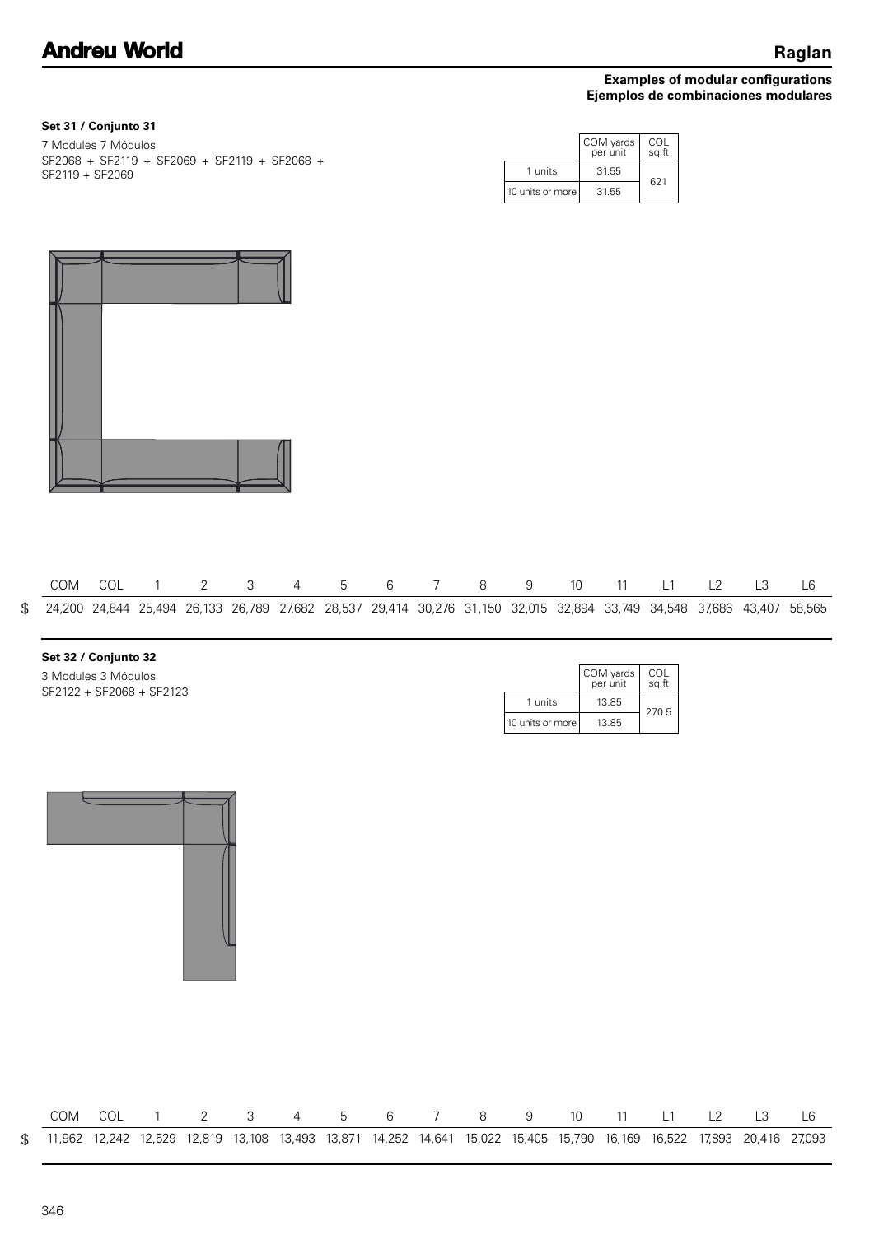## **Set 31 / Conjunto 31**

| 7 Modules 7 Módulos. |                                              |  |
|----------------------|----------------------------------------------|--|
|                      | SF2068 + SF2119 + SF2069 + SF2119 + SF2068 + |  |
| SF2119 + SF2069      |                                              |  |

|                  | COM yards<br>per unit | COL<br>sq.ft |
|------------------|-----------------------|--------------|
| 1 units          | 31.55                 | 621          |
| 10 units or more | 31.55                 |              |



|  |  |  |  |  |  |  | COM COL 1 2 3 4 5 6 7 8 9 10 11 L1 L2 L3 L6 |  |                                                                                                                           |
|--|--|--|--|--|--|--|---------------------------------------------|--|---------------------------------------------------------------------------------------------------------------------------|
|  |  |  |  |  |  |  |                                             |  | \$ 24,200 24,844 25,494 26,133 26,789 27,682 28,537 29,414 30,276 31,150 32,015 32,894 33,749 34,548 37,686 43,407 58,565 |

# **Set 32 / Conjunto 32** 3 Modules 3 Módulos

| 3 Modules 3 Módulos      |
|--------------------------|
| SF2122 + SF2068 + SF2123 |

|                  | COM yards<br>per unit | COL<br>sq.ft |
|------------------|-----------------------|--------------|
| 1 units          | 13.85                 |              |
| 10 units or more | 13.85                 | 270.5        |



|  |  |  |  |  | COM COL 1 2 3 4 5 6 7 8 9 10 11 L1 L2 L3 |  |  |  |                                                                                                                          |
|--|--|--|--|--|------------------------------------------|--|--|--|--------------------------------------------------------------------------------------------------------------------------|
|  |  |  |  |  |                                          |  |  |  | \$11,962 12,242 12,529 12,819 13,108 13,493 13,871 14,252 14,641 15,022 15,405 15,790 16,169 16,522 17,893 20,416 27,093 |